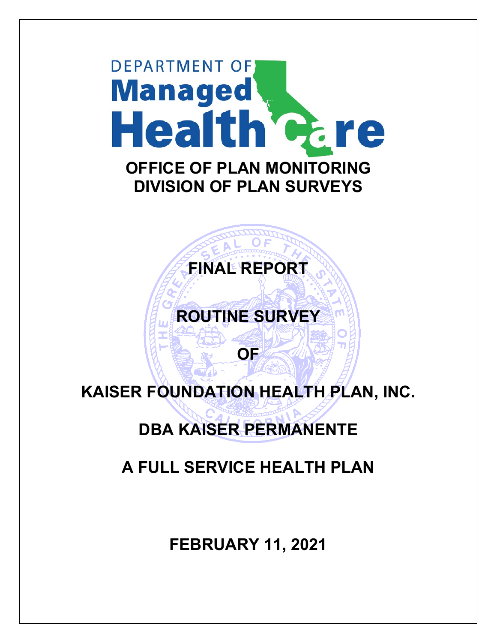



# **ROUTINE SURVEY**

# **KAISER FOUNDATION HEALTH PLAN, INC.**

**OF**

## **DBA KAISER PERMANENTE**

## **A FULL SERVICE HEALTH PLAN**

**FEBRUARY 11, 2021**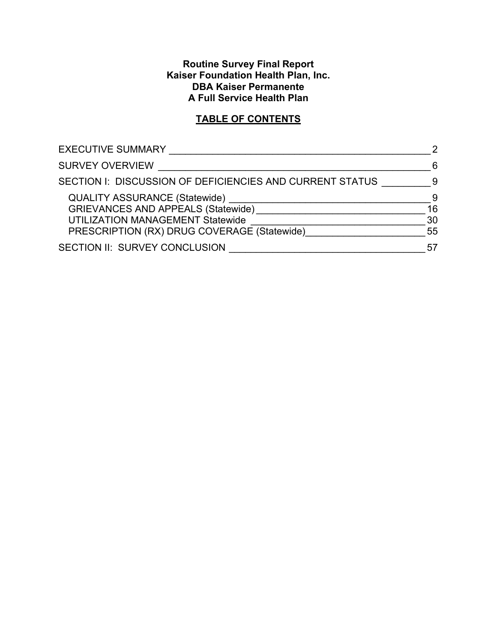#### **Routine Survey Final Report Kaiser Foundation Health Plan, Inc. DBA Kaiser Permanente A Full Service Health Plan**

## **TABLE OF CONTENTS**

| <b>EXECUTIVE SUMMARY</b>                                 | $\mathcal{P}$ |
|----------------------------------------------------------|---------------|
| <b>SURVEY OVERVIEW</b>                                   | 6             |
| SECTION I: DISCUSSION OF DEFICIENCIES AND CURRENT STATUS | 9             |
| <b>QUALITY ASSURANCE (Statewide)</b>                     | -9            |
| <b>GRIEVANCES AND APPEALS (Statewide)</b>                | 16            |
| UTILIZATION MANAGEMENT Statewide                         | 30            |
| PRESCRIPTION (RX) DRUG COVERAGE (Statewide)              | 55            |
| SECTION II: SURVEY CONCLUSION                            | 57            |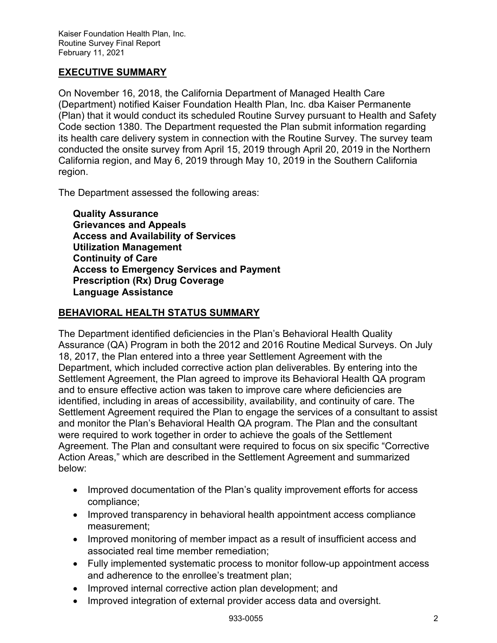## <span id="page-2-0"></span>**EXECUTIVE SUMMARY**

On November 16, 2018, the California Department of Managed Health Care (Department) notified Kaiser Foundation Health Plan, Inc. dba Kaiser Permanente (Plan) that it would conduct its scheduled Routine Survey pursuant to Health and Safety Code section 1380. The Department requested the Plan submit information regarding its health care delivery system in connection with the Routine Survey. The survey team conducted the onsite survey from April 15, 2019 through April 20, 2019 in the Northern California region, and May 6, 2019 through May 10, 2019 in the Southern California region.

The Department assessed the following areas:

**Quality Assurance Grievances and Appeals Access and Availability of Services Utilization Management Continuity of Care Access to Emergency Services and Payment Prescription (Rx) Drug Coverage Language Assistance**

#### **BEHAVIORAL HEALTH STATUS SUMMARY**

The Department identified deficiencies in the Plan's Behavioral Health Quality Assurance (QA) Program in both the 2012 and 2016 Routine Medical Surveys. On July 18, 2017, the Plan entered into a three year Settlement Agreement with the Department, which included corrective action plan deliverables. By entering into the Settlement Agreement, the Plan agreed to improve its Behavioral Health QA program and to ensure effective action was taken to improve care where deficiencies are identified, including in areas of accessibility, availability, and continuity of care. The Settlement Agreement required the Plan to engage the services of a consultant to assist and monitor the Plan's Behavioral Health QA program. The Plan and the consultant were required to work together in order to achieve the goals of the Settlement Agreement. The Plan and consultant were required to focus on six specific "Corrective Action Areas," which are described in the Settlement Agreement and summarized below:

- Improved documentation of the Plan's quality improvement efforts for access compliance;
- Improved transparency in behavioral health appointment access compliance measurement;
- Improved monitoring of member impact as a result of insufficient access and associated real time member remediation;
- Fully implemented systematic process to monitor follow-up appointment access and adherence to the enrollee's treatment plan;
- Improved internal corrective action plan development; and
- Improved integration of external provider access data and oversight.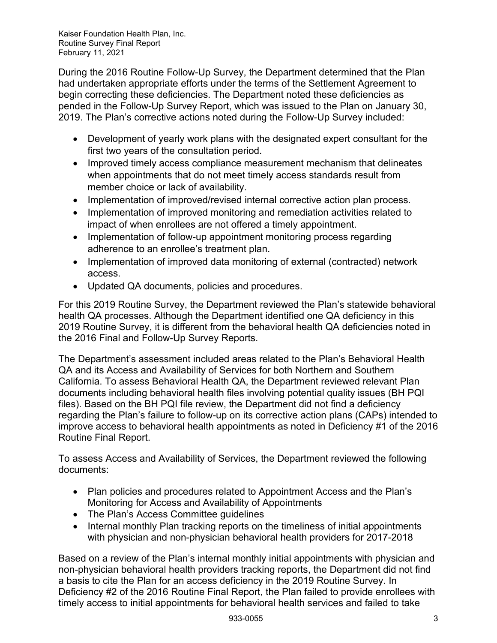During the 2016 Routine Follow-Up Survey, the Department determined that the Plan had undertaken appropriate efforts under the terms of the Settlement Agreement to begin correcting these deficiencies. The Department noted these deficiencies as pended in the Follow-Up Survey Report, which was issued to the Plan on January 30, 2019. The Plan's corrective actions noted during the Follow-Up Survey included:

- Development of yearly work plans with the designated expert consultant for the first two years of the consultation period.
- Improved timely access compliance measurement mechanism that delineates when appointments that do not meet timely access standards result from member choice or lack of availability.
- Implementation of improved/revised internal corrective action plan process.
- Implementation of improved monitoring and remediation activities related to impact of when enrollees are not offered a timely appointment.
- Implementation of follow-up appointment monitoring process regarding adherence to an enrollee's treatment plan.
- Implementation of improved data monitoring of external (contracted) network access.
- Updated QA documents, policies and procedures.

For this 2019 Routine Survey, the Department reviewed the Plan's statewide behavioral health QA processes. Although the Department identified one QA deficiency in this 2019 Routine Survey, it is different from the behavioral health QA deficiencies noted in the 2016 Final and Follow-Up Survey Reports.

The Department's assessment included areas related to the Plan's Behavioral Health QA and its Access and Availability of Services for both Northern and Southern California. To assess Behavioral Health QA, the Department reviewed relevant Plan documents including behavioral health files involving potential quality issues (BH PQI files). Based on the BH PQI file review, the Department did not find a deficiency regarding the Plan's failure to follow-up on its corrective action plans (CAPs) intended to improve access to behavioral health appointments as noted in Deficiency #1 of the 2016 Routine Final Report.

To assess Access and Availability of Services, the Department reviewed the following documents:

- Plan policies and procedures related to Appointment Access and the Plan's Monitoring for Access and Availability of Appointments
- The Plan's Access Committee guidelines
- Internal monthly Plan tracking reports on the timeliness of initial appointments with physician and non-physician behavioral health providers for 2017-2018

Based on a review of the Plan's internal monthly initial appointments with physician and non-physician behavioral health providers tracking reports, the Department did not find a basis to cite the Plan for an access deficiency in the 2019 Routine Survey. In Deficiency #2 of the 2016 Routine Final Report, the Plan failed to provide enrollees with timely access to initial appointments for behavioral health services and failed to take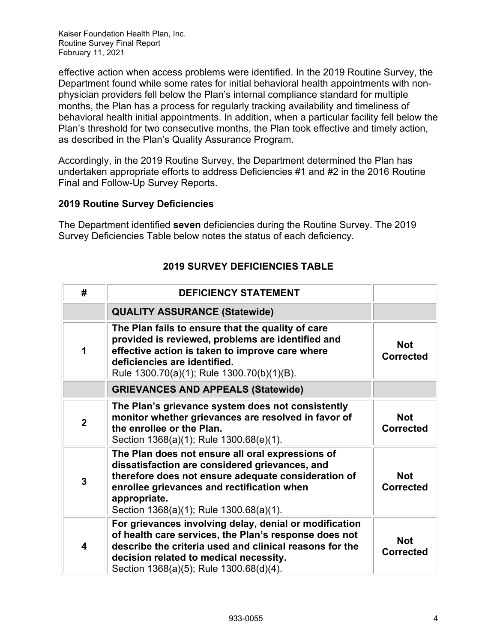effective action when access problems were identified. In the 2019 Routine Survey, the Department found while some rates for initial behavioral health appointments with nonphysician providers fell below the Plan's internal compliance standard for multiple months, the Plan has a process for regularly tracking availability and timeliness of behavioral health initial appointments. In addition, when a particular facility fell below the Plan's threshold for two consecutive months, the Plan took effective and timely action, as described in the Plan's Quality Assurance Program.

Accordingly, in the 2019 Routine Survey, the Department determined the Plan has undertaken appropriate efforts to address Deficiencies #1 and #2 in the 2016 Routine Final and Follow-Up Survey Reports.

#### **2019 Routine Survey Deficiencies**

The Department identified **seven** deficiencies during the Routine Survey. The 2019 Survey Deficiencies Table below notes the status of each deficiency.

| #              | <b>DEFICIENCY STATEMENT</b>                                                                                                                                                                                                                                        |                                |
|----------------|--------------------------------------------------------------------------------------------------------------------------------------------------------------------------------------------------------------------------------------------------------------------|--------------------------------|
|                | <b>QUALITY ASSURANCE (Statewide)</b>                                                                                                                                                                                                                               |                                |
| 1              | The Plan fails to ensure that the quality of care<br>provided is reviewed, problems are identified and<br>effective action is taken to improve care where<br>deficiencies are identified.<br>Rule 1300.70(a)(1); Rule 1300.70(b)(1)(B).                            | <b>Not</b><br><b>Corrected</b> |
|                | <b>GRIEVANCES AND APPEALS (Statewide)</b>                                                                                                                                                                                                                          |                                |
| $\overline{2}$ | The Plan's grievance system does not consistently<br>monitor whether grievances are resolved in favor of<br>the enrollee or the Plan.<br>Section 1368(a)(1); Rule 1300.68(e)(1).                                                                                   | <b>Not</b><br><b>Corrected</b> |
| 3              | The Plan does not ensure all oral expressions of<br>dissatisfaction are considered grievances, and<br>therefore does not ensure adequate consideration of<br>enrollee grievances and rectification when<br>appropriate.<br>Section 1368(a)(1); Rule 1300.68(a)(1). | <b>Not</b><br><b>Corrected</b> |
| 4              | For grievances involving delay, denial or modification<br>of health care services, the Plan's response does not<br>describe the criteria used and clinical reasons for the<br>decision related to medical necessity.<br>Section 1368(a)(5); Rule 1300.68(d)(4).    | <b>Not</b><br><b>Corrected</b> |

## **2019 SURVEY DEFICIENCIES TABLE**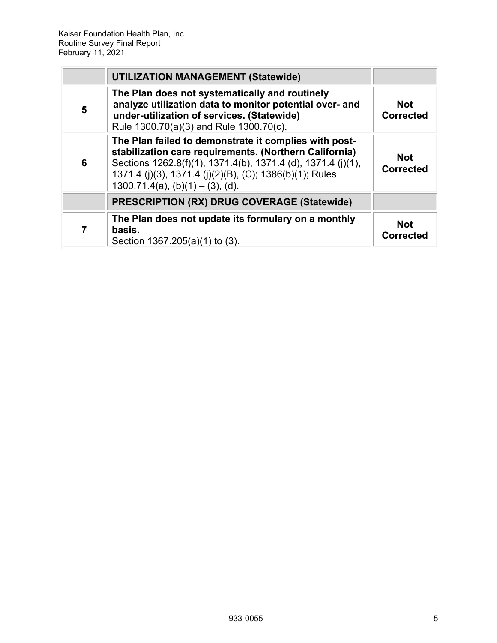|                | <b>UTILIZATION MANAGEMENT (Statewide)</b>                                                                                                                                                                                                                                         |                                |
|----------------|-----------------------------------------------------------------------------------------------------------------------------------------------------------------------------------------------------------------------------------------------------------------------------------|--------------------------------|
| 5              | The Plan does not systematically and routinely<br>analyze utilization data to monitor potential over- and<br>under-utilization of services. (Statewide)<br>Rule 1300.70(a)(3) and Rule 1300.70(c).                                                                                | <b>Not</b><br><b>Corrected</b> |
| 6              | The Plan failed to demonstrate it complies with post-<br>stabilization care requirements. (Northern California)<br>Sections 1262.8(f)(1), 1371.4(b), 1371.4 (d), 1371.4 (j)(1),<br>1371.4 (j)(3), 1371.4 (j)(2)(B), (C); 1386(b)(1); Rules<br>$1300.71.4(a)$ , (b)(1) – (3), (d). | <b>Not</b><br><b>Corrected</b> |
|                | <b>PRESCRIPTION (RX) DRUG COVERAGE (Statewide)</b>                                                                                                                                                                                                                                |                                |
| $\overline{7}$ | The Plan does not update its formulary on a monthly<br>basis.<br>Section 1367.205(a)(1) to (3).                                                                                                                                                                                   | <b>Not</b><br><b>Corrected</b> |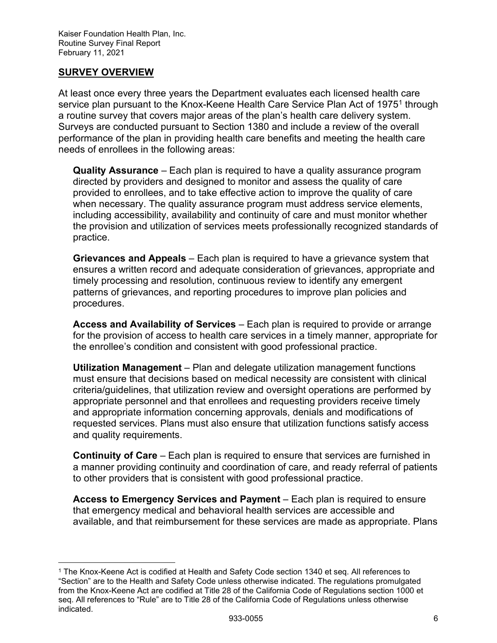## <span id="page-6-0"></span>**SURVEY OVERVIEW**

At least once every three years the Department evaluates each licensed health care service plan pursuant to the Knox-Keene Health Care Service Plan Act of [1](#page-6-1)975<sup>1</sup> through a routine survey that covers major areas of the plan's health care delivery system. Surveys are conducted pursuant to Section 1380 and include a review of the overall performance of the plan in providing health care benefits and meeting the health care needs of enrollees in the following areas:

**Quality Assurance** – Each plan is required to have a quality assurance program directed by providers and designed to monitor and assess the quality of care provided to enrollees, and to take effective action to improve the quality of care when necessary. The quality assurance program must address service elements, including accessibility, availability and continuity of care and must monitor whether the provision and utilization of services meets professionally recognized standards of practice.

**Grievances and Appeals** – Each plan is required to have a grievance system that ensures a written record and adequate consideration of grievances, appropriate and timely processing and resolution, continuous review to identify any emergent patterns of grievances, and reporting procedures to improve plan policies and procedures.

**Access and Availability of Services** – Each plan is required to provide or arrange for the provision of access to health care services in a timely manner, appropriate for the enrollee's condition and consistent with good professional practice.

**Utilization Management** – Plan and delegate utilization management functions must ensure that decisions based on medical necessity are consistent with clinical criteria/guidelines, that utilization review and oversight operations are performed by appropriate personnel and that enrollees and requesting providers receive timely and appropriate information concerning approvals, denials and modifications of requested services. Plans must also ensure that utilization functions satisfy access and quality requirements.

**Continuity of Care** – Each plan is required to ensure that services are furnished in a manner providing continuity and coordination of care, and ready referral of patients to other providers that is consistent with good professional practice.

**Access to Emergency Services and Payment** – Each plan is required to ensure that emergency medical and behavioral health services are accessible and available, and that reimbursement for these services are made as appropriate. Plans

<span id="page-6-1"></span><sup>1</sup> The Knox-Keene Act is codified at Health and Safety Code section 1340 et seq. All references to "Section" are to the Health and Safety Code unless otherwise indicated. The regulations promulgated from the Knox-Keene Act are codified at Title 28 of the California Code of Regulations section 1000 et seq. All references to "Rule" are to Title 28 of the California Code of Regulations unless otherwise indicated.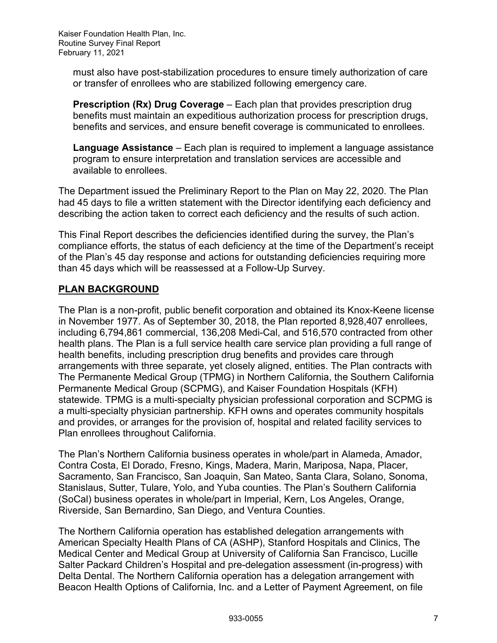must also have post-stabilization procedures to ensure timely authorization of care or transfer of enrollees who are stabilized following emergency care.

**Prescription (Rx) Drug Coverage** – Each plan that provides prescription drug benefits must maintain an expeditious authorization process for prescription drugs, benefits and services, and ensure benefit coverage is communicated to enrollees.

**Language Assistance** – Each plan is required to implement a language assistance program to ensure interpretation and translation services are accessible and available to enrollees.

The Department issued the Preliminary Report to the Plan on May 22, 2020. The Plan had 45 days to file a written statement with the Director identifying each deficiency and describing the action taken to correct each deficiency and the results of such action.

This Final Report describes the deficiencies identified during the survey, the Plan's compliance efforts, the status of each deficiency at the time of the Department's receipt of the Plan's 45 day response and actions for outstanding deficiencies requiring more than 45 days which will be reassessed at a Follow-Up Survey.

## **PLAN BACKGROUND**

The Plan is a non-profit, public benefit corporation and obtained its Knox-Keene license in November 1977. As of September 30, 2018, the Plan reported 8,928,407 enrollees, including 6,794,861 commercial, 136,208 Medi-Cal, and 516,570 contracted from other health plans. The Plan is a full service health care service plan providing a full range of health benefits, including prescription drug benefits and provides care through arrangements with three separate, yet closely aligned, entities. The Plan contracts with The Permanente Medical Group (TPMG) in Northern California, the Southern California Permanente Medical Group (SCPMG), and Kaiser Foundation Hospitals (KFH) statewide. TPMG is a multi-specialty physician professional corporation and SCPMG is a multi-specialty physician partnership. KFH owns and operates community hospitals and provides, or arranges for the provision of, hospital and related facility services to Plan enrollees throughout California.

The Plan's Northern California business operates in whole/part in Alameda, Amador, Contra Costa, El Dorado, Fresno, Kings, Madera, Marin, Mariposa, Napa, Placer, Sacramento, San Francisco, San Joaquin, San Mateo, Santa Clara, Solano, Sonoma, Stanislaus, Sutter, Tulare, Yolo, and Yuba counties. The Plan's Southern California (SoCal) business operates in whole/part in Imperial, Kern, Los Angeles, Orange, Riverside, San Bernardino, San Diego, and Ventura Counties.

The Northern California operation has established delegation arrangements with American Specialty Health Plans of CA (ASHP), Stanford Hospitals and Clinics, The Medical Center and Medical Group at University of California San Francisco, Lucille Salter Packard Children's Hospital and pre-delegation assessment (in-progress) with Delta Dental. The Northern California operation has a delegation arrangement with Beacon Health Options of California, Inc. and a Letter of Payment Agreement, on file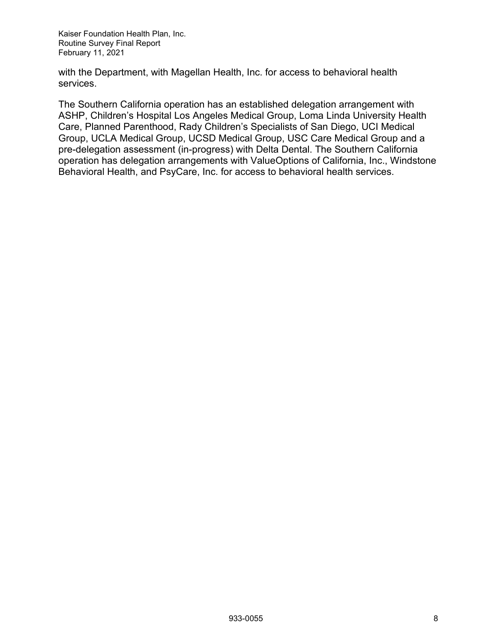with the Department, with Magellan Health, Inc. for access to behavioral health services.

The Southern California operation has an established delegation arrangement with ASHP, Children's Hospital Los Angeles Medical Group, Loma Linda University Health Care, Planned Parenthood, Rady Children's Specialists of San Diego, UCI Medical Group, UCLA Medical Group, UCSD Medical Group, USC Care Medical Group and a pre-delegation assessment (in-progress) with Delta Dental. The Southern California operation has delegation arrangements with ValueOptions of California, Inc., Windstone Behavioral Health, and PsyCare, Inc. for access to behavioral health services.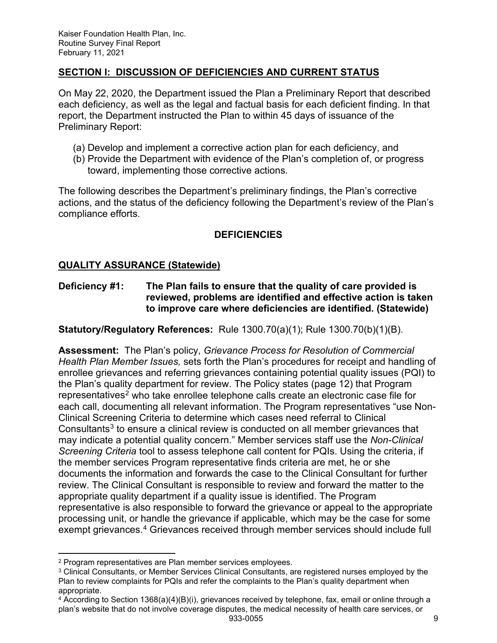## <span id="page-9-0"></span>**SECTION I: DISCUSSION OF DEFICIENCIES AND CURRENT STATUS**

On May 22, 2020, the Department issued the Plan a Preliminary Report that described each deficiency, as well as the legal and factual basis for each deficient finding. In that report, the Department instructed the Plan to within 45 days of issuance of the Preliminary Report:

- (a) Develop and implement a corrective action plan for each deficiency, and
- (b) Provide the Department with evidence of the Plan's completion of, or progress toward, implementing those corrective actions.

The following describes the Department's preliminary findings, the Plan's corrective actions, and the status of the deficiency following the Department's review of the Plan's compliance efforts.

## **DEFICIENCIES**

#### <span id="page-9-1"></span>**QUALITY ASSURANCE (Statewide)**

**Deficiency #1: The Plan fails to ensure that the quality of care provided is reviewed, problems are identified and effective action is taken to improve care where deficiencies are identified. (Statewide)**

**Statutory/Regulatory References:** Rule 1300.70(a)(1); Rule 1300.70(b)(1)(B).

**Assessment:** The Plan's policy, *Grievance Process for Resolution of Commercial Health Plan Member Issues,* sets forth the Plan's procedures for receipt and handling of enrollee grievances and referring grievances containing potential quality issues (PQI) to the Plan's quality department for review. The Policy states (page 12) that Program representatives<sup>[2](#page-9-2)</sup> who take enrollee telephone calls create an electronic case file for each call, documenting all relevant information. The Program representatives "use Non-Clinical Screening Criteria to determine which cases need referral to Clinical Consultants<sup>[3](#page-9-3)</sup> to ensure a clinical review is conducted on all member grievances that may indicate a potential quality concern." Member services staff use the *Non-Clinical Screening Criteria* tool to assess telephone call content for PQIs. Using the criteria, if the member services Program representative finds criteria are met, he or she documents the information and forwards the case to the Clinical Consultant for further review. The Clinical Consultant is responsible to review and forward the matter to the appropriate quality department if a quality issue is identified. The Program representative is also responsible to forward the grievance or appeal to the appropriate processing unit, or handle the grievance if applicable, which may be the case for some exempt grievances.<sup>[4](#page-9-4)</sup> Grievances received through member services should include full

<span id="page-9-2"></span><sup>2</sup> Program representatives are Plan member services employees.

<span id="page-9-3"></span><sup>3</sup> Clinical Consultants, or Member Services Clinical Consultants, are registered nurses employed by the Plan to review complaints for PQIs and refer the complaints to the Plan's quality department when appropriate.

<span id="page-9-4"></span><sup>933-0055</sup> 9 <sup>4</sup> According to Section 1368(a)(4)(B)(i), grievances received by telephone, fax, email or online through a plan's website that do not involve coverage disputes, the medical necessity of health care services, or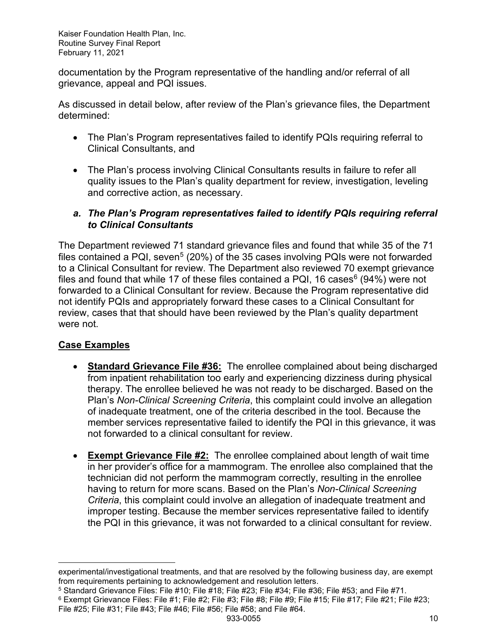documentation by the Program representative of the handling and/or referral of all grievance, appeal and PQI issues.

As discussed in detail below, after review of the Plan's grievance files, the Department determined:

- The Plan's Program representatives failed to identify PQIs requiring referral to Clinical Consultants, and
- The Plan's process involving Clinical Consultants results in failure to refer all quality issues to the Plan's quality department for review, investigation, leveling and corrective action, as necessary.
- *a. The Plan's Program representatives failed to identify PQIs requiring referral to Clinical Consultants*

The Department reviewed 71 standard grievance files and found that while 35 of the 71 files contained a PQI, seven<sup>[5](#page-10-0)</sup> (20%) of the 35 cases involving PQIs were not forwarded to a Clinical Consultant for review. The Department also reviewed 70 exempt grievance files and found that while 17 of these files contained a PQI, 1[6](#page-10-1) cases $6$  (94%) were not forwarded to a Clinical Consultant for review. Because the Program representative did not identify PQIs and appropriately forward these cases to a Clinical Consultant for review, cases that that should have been reviewed by the Plan's quality department were not.

## **Case Examples**

- **Standard Grievance File #36:** The enrollee complained about being discharged from inpatient rehabilitation too early and experiencing dizziness during physical therapy. The enrollee believed he was not ready to be discharged. Based on the Plan's *Non-Clinical Screening Criteria*, this complaint could involve an allegation of inadequate treatment, one of the criteria described in the tool. Because the member services representative failed to identify the PQI in this grievance, it was not forwarded to a clinical consultant for review.
- **Exempt Grievance File #2:** The enrollee complained about length of wait time in her provider's office for a mammogram. The enrollee also complained that the technician did not perform the mammogram correctly, resulting in the enrollee having to return for more scans. Based on the Plan's *Non-Clinical Screening Criteria*, this complaint could involve an allegation of inadequate treatment and improper testing. Because the member services representative failed to identify the PQI in this grievance, it was not forwarded to a clinical consultant for review.

experimental/investigational treatments, and that are resolved by the following business day, are exempt from requirements pertaining to acknowledgement and resolution letters.

<span id="page-10-0"></span> $5$  Standard Grievance Files: File #10; File #18; File #23; File #34; File #36; File #53; and File #71.

<span id="page-10-1"></span><sup>933-0055</sup> 10  $6$  Exempt Grievance Files: File #1; File #2; File #3; File #8; File #9; File #15; File #17; File #21; File #23; File #25; File #31; File #43; File #46; File #56; File #58; and File #64.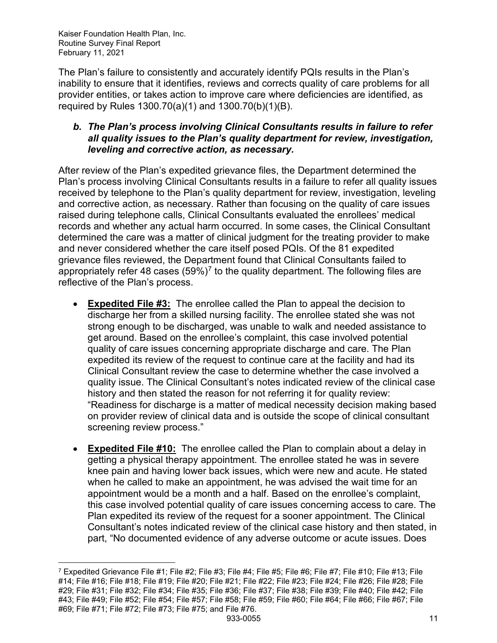The Plan's failure to consistently and accurately identify PQIs results in the Plan's inability to ensure that it identifies, reviews and corrects quality of care problems for all provider entities, or takes action to improve care where deficiencies are identified, as required by Rules 1300.70(a)(1) and 1300.70(b)(1)(B).

## *b. The Plan's process involving Clinical Consultants results in failure to refer all quality issues to the Plan's quality department for review, investigation, leveling and corrective action, as necessary.*

After review of the Plan's expedited grievance files, the Department determined the Plan's process involving Clinical Consultants results in a failure to refer all quality issues received by telephone to the Plan's quality department for review, investigation, leveling and corrective action, as necessary. Rather than focusing on the quality of care issues raised during telephone calls, Clinical Consultants evaluated the enrollees' medical records and whether any actual harm occurred. In some cases, the Clinical Consultant determined the care was a matter of clinical judgment for the treating provider to make and never considered whether the care itself posed PQIs. Of the 81 expedited grievance files reviewed, the Department found that Clinical Consultants failed to appropriately refer 48 cases  $(59%)^7$  $(59%)^7$  to the quality department. The following files are reflective of the Plan's process.

- **Expedited File #3:** The enrollee called the Plan to appeal the decision to discharge her from a skilled nursing facility. The enrollee stated she was not strong enough to be discharged, was unable to walk and needed assistance to get around. Based on the enrollee's complaint, this case involved potential quality of care issues concerning appropriate discharge and care. The Plan expedited its review of the request to continue care at the facility and had its Clinical Consultant review the case to determine whether the case involved a quality issue. The Clinical Consultant's notes indicated review of the clinical case history and then stated the reason for not referring it for quality review: "Readiness for discharge is a matter of medical necessity decision making based on provider review of clinical data and is outside the scope of clinical consultant screening review process."
- **Expedited File #10:** The enrollee called the Plan to complain about a delay in getting a physical therapy appointment. The enrollee stated he was in severe knee pain and having lower back issues, which were new and acute. He stated when he called to make an appointment, he was advised the wait time for an appointment would be a month and a half. Based on the enrollee's complaint, this case involved potential quality of care issues concerning access to care. The Plan expedited its review of the request for a sooner appointment. The Clinical Consultant's notes indicated review of the clinical case history and then stated, in part, "No documented evidence of any adverse outcome or acute issues. Does

<span id="page-11-0"></span><sup>933-0055 11</sup> <sup>7</sup> Expedited Grievance File #1; File #2; File #3; File #4; File #5; File #6; File #7; File #10; File #13; File #14; File #16; File #18; File #19; File #20; File #21; File #22; File #23; File #24; File #26; File #28; File #29; File #31; File #32; File #34; File #35; File #36; File #37; File #38; File #39; File #40; File #42; File #43; File #49; File #52; File #54; File #57; File #58; File #59; File #60; File #64; File #66; File #67; File #69; File #71; File #72; File #73; File #75; and File #76.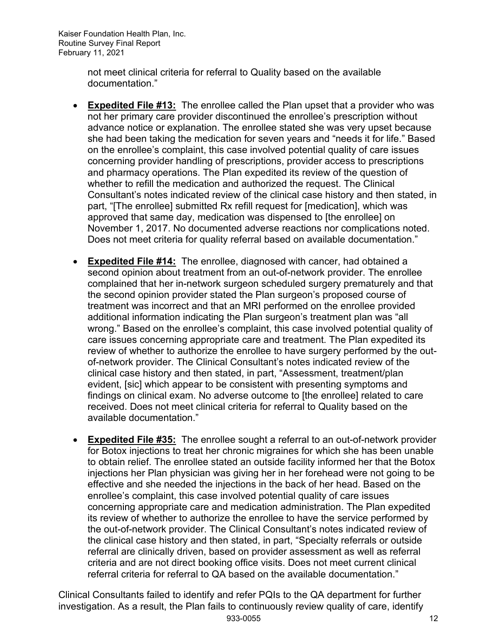> not meet clinical criteria for referral to Quality based on the available documentation."

- **Expedited File #13:** The enrollee called the Plan upset that a provider who was not her primary care provider discontinued the enrollee's prescription without advance notice or explanation. The enrollee stated she was very upset because she had been taking the medication for seven years and "needs it for life." Based on the enrollee's complaint, this case involved potential quality of care issues concerning provider handling of prescriptions, provider access to prescriptions and pharmacy operations. The Plan expedited its review of the question of whether to refill the medication and authorized the request. The Clinical Consultant's notes indicated review of the clinical case history and then stated, in part, "[The enrollee] submitted Rx refill request for [medication], which was approved that same day, medication was dispensed to [the enrollee] on November 1, 2017. No documented adverse reactions nor complications noted. Does not meet criteria for quality referral based on available documentation."
- **Expedited File #14:** The enrollee, diagnosed with cancer, had obtained a second opinion about treatment from an out-of-network provider. The enrollee complained that her in-network surgeon scheduled surgery prematurely and that the second opinion provider stated the Plan surgeon's proposed course of treatment was incorrect and that an MRI performed on the enrollee provided additional information indicating the Plan surgeon's treatment plan was "all wrong." Based on the enrollee's complaint, this case involved potential quality of care issues concerning appropriate care and treatment. The Plan expedited its review of whether to authorize the enrollee to have surgery performed by the outof-network provider. The Clinical Consultant's notes indicated review of the clinical case history and then stated, in part, "Assessment, treatment/plan evident, [sic] which appear to be consistent with presenting symptoms and findings on clinical exam. No adverse outcome to [the enrollee] related to care received. Does not meet clinical criteria for referral to Quality based on the available documentation."
- **Expedited File #35:** The enrollee sought a referral to an out-of-network provider for Botox injections to treat her chronic migraines for which she has been unable to obtain relief. The enrollee stated an outside facility informed her that the Botox injections her Plan physician was giving her in her forehead were not going to be effective and she needed the injections in the back of her head. Based on the enrollee's complaint, this case involved potential quality of care issues concerning appropriate care and medication administration. The Plan expedited its review of whether to authorize the enrollee to have the service performed by the out-of-network provider. The Clinical Consultant's notes indicated review of the clinical case history and then stated, in part, "Specialty referrals or outside referral are clinically driven, based on provider assessment as well as referral criteria and are not direct booking office visits. Does not meet current clinical referral criteria for referral to QA based on the available documentation."

933-0055 12 Clinical Consultants failed to identify and refer PQIs to the QA department for further investigation. As a result, the Plan fails to continuously review quality of care, identify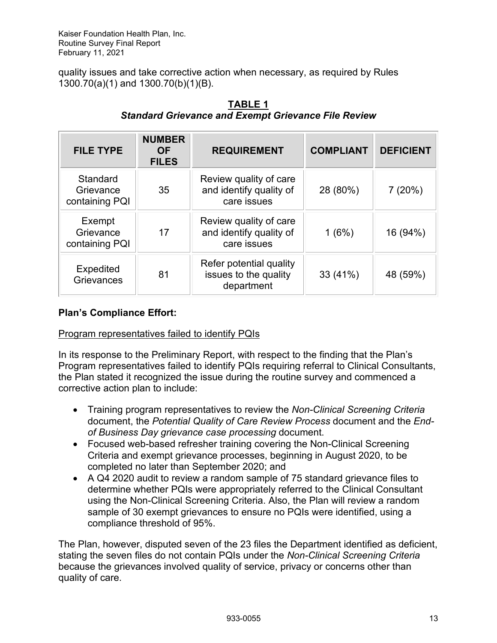quality issues and take corrective action when necessary, as required by Rules 1300.70(a)(1) and 1300.70(b)(1)(B).

| <b>FILE TYPE</b>                        | <b>NUMBER</b><br><b>OF</b><br><b>FILES</b> | <b>REQUIREMENT</b>                                               | <b>COMPLIANT</b> | <b>DEFICIENT</b> |
|-----------------------------------------|--------------------------------------------|------------------------------------------------------------------|------------------|------------------|
| Standard<br>Grievance<br>containing PQI | 35                                         | Review quality of care<br>and identify quality of<br>care issues | 28 (80%)         | 7(20%)           |
| Exempt<br>Grievance<br>containing PQI   | 17                                         | Review quality of care<br>and identify quality of<br>care issues | 1(6%)            | 16 (94%)         |
| Expedited<br>Grievances                 | 81                                         | Refer potential quality<br>issues to the quality<br>department   | 33 (41%)         | 48 (59%)         |

## **TABLE 1** *Standard Grievance and Exempt Grievance File Review*

## **Plan's Compliance Effort:**

#### Program representatives failed to identify PQIs

In its response to the Preliminary Report, with respect to the finding that the Plan's Program representatives failed to identify PQIs requiring referral to Clinical Consultants, the Plan stated it recognized the issue during the routine survey and commenced a corrective action plan to include:

- Training program representatives to review the *Non-Clinical Screening Criteria* document, the *Potential Quality of Care Review Process* document and the *Endof Business Day grievance case processing* document.
- Focused web-based refresher training covering the Non-Clinical Screening Criteria and exempt grievance processes, beginning in August 2020, to be completed no later than September 2020; and
- A Q4 2020 audit to review a random sample of 75 standard grievance files to determine whether PQIs were appropriately referred to the Clinical Consultant using the Non-Clinical Screening Criteria. Also, the Plan will review a random sample of 30 exempt grievances to ensure no PQIs were identified, using a compliance threshold of 95%.

The Plan, however, disputed seven of the 23 files the Department identified as deficient, stating the seven files do not contain PQIs under the *Non-Clinical Screening Criteria*  because the grievances involved quality of service, privacy or concerns other than quality of care.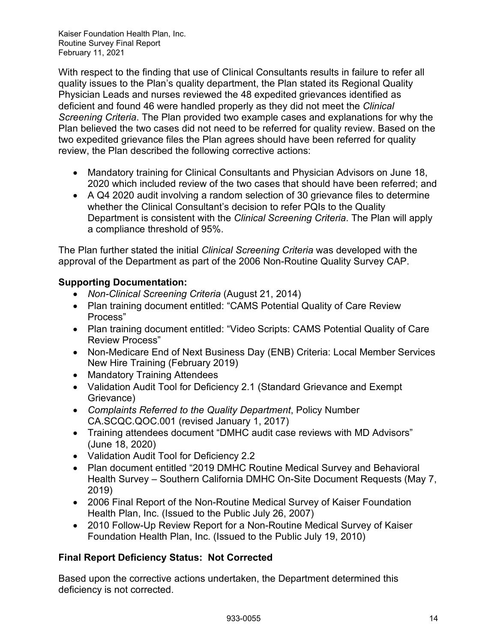With respect to the finding that use of Clinical Consultants results in failure to refer all quality issues to the Plan's quality department, the Plan stated its Regional Quality Physician Leads and nurses reviewed the 48 expedited grievances identified as deficient and found 46 were handled properly as they did not meet the *Clinical Screening Criteria*. The Plan provided two example cases and explanations for why the Plan believed the two cases did not need to be referred for quality review. Based on the two expedited grievance files the Plan agrees should have been referred for quality review, the Plan described the following corrective actions:

- Mandatory training for Clinical Consultants and Physician Advisors on June 18, 2020 which included review of the two cases that should have been referred; and
- A Q4 2020 audit involving a random selection of 30 grievance files to determine whether the Clinical Consultant's decision to refer PQIs to the Quality Department is consistent with the *Clinical Screening Criteria*. The Plan will apply a compliance threshold of 95%.

The Plan further stated the initial *Clinical Screening Criteria* was developed with the approval of the Department as part of the 2006 Non-Routine Quality Survey CAP.

## **Supporting Documentation:**

- *Non-Clinical Screening Criteria* (August 21, 2014)
- Plan training document entitled: "CAMS Potential Quality of Care Review Process"
- Plan training document entitled: "Video Scripts: CAMS Potential Quality of Care Review Process"
- Non-Medicare End of Next Business Day (ENB) Criteria: Local Member Services New Hire Training (February 2019)
- Mandatory Training Attendees
- Validation Audit Tool for Deficiency 2.1 (Standard Grievance and Exempt Grievance)
- *Complaints Referred to the Quality Department*, Policy Number CA.SCQC.QOC.001 (revised January 1, 2017)
- Training attendees document "DMHC audit case reviews with MD Advisors" (June 18, 2020)
- Validation Audit Tool for Deficiency 2.2
- Plan document entitled "2019 DMHC Routine Medical Survey and Behavioral Health Survey – Southern California DMHC On-Site Document Requests (May 7, 2019)
- 2006 Final Report of the Non-Routine Medical Survey of Kaiser Foundation Health Plan, Inc. (Issued to the Public July 26, 2007)
- 2010 Follow-Up Review Report for a Non-Routine Medical Survey of Kaiser Foundation Health Plan, Inc. (Issued to the Public July 19, 2010)

## **Final Report Deficiency Status: Not Corrected**

Based upon the corrective actions undertaken, the Department determined this deficiency is not corrected.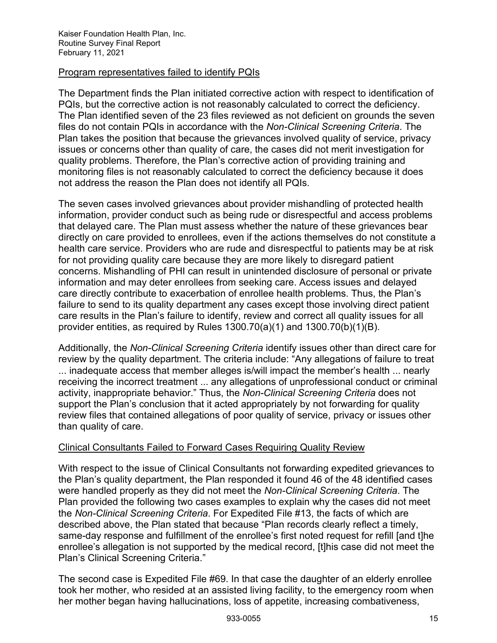#### Program representatives failed to identify PQIs

The Department finds the Plan initiated corrective action with respect to identification of PQIs, but the corrective action is not reasonably calculated to correct the deficiency. The Plan identified seven of the 23 files reviewed as not deficient on grounds the seven files do not contain PQIs in accordance with the *Non-Clinical Screening Criteria*. The Plan takes the position that because the grievances involved quality of service, privacy issues or concerns other than quality of care, the cases did not merit investigation for quality problems. Therefore, the Plan's corrective action of providing training and monitoring files is not reasonably calculated to correct the deficiency because it does not address the reason the Plan does not identify all PQIs.

The seven cases involved grievances about provider mishandling of protected health information, provider conduct such as being rude or disrespectful and access problems that delayed care. The Plan must assess whether the nature of these grievances bear directly on care provided to enrollees, even if the actions themselves do not constitute a health care service. Providers who are rude and disrespectful to patients may be at risk for not providing quality care because they are more likely to disregard patient concerns. Mishandling of PHI can result in unintended disclosure of personal or private information and may deter enrollees from seeking care. Access issues and delayed care directly contribute to exacerbation of enrollee health problems. Thus, the Plan's failure to send to its quality department any cases except those involving direct patient care results in the Plan's failure to identify, review and correct all quality issues for all provider entities, as required by Rules 1300.70(a)(1) and 1300.70(b)(1)(B).

Additionally, the *Non-Clinical Screening Criteria* identify issues other than direct care for review by the quality department. The criteria include: "Any allegations of failure to treat ... inadequate access that member alleges is/will impact the member's health ... nearly receiving the incorrect treatment ... any allegations of unprofessional conduct or criminal activity, inappropriate behavior." Thus, the *Non-Clinical Screening Criteria* does not support the Plan's conclusion that it acted appropriately by not forwarding for quality review files that contained allegations of poor quality of service, privacy or issues other than quality of care.

#### Clinical Consultants Failed to Forward Cases Requiring Quality Review

With respect to the issue of Clinical Consultants not forwarding expedited grievances to the Plan's quality department, the Plan responded it found 46 of the 48 identified cases were handled properly as they did not meet the *Non-Clinical Screening Criteria*. The Plan provided the following two cases examples to explain why the cases did not meet the *Non-Clinical Screening Criteria*. For Expedited File #13, the facts of which are described above, the Plan stated that because "Plan records clearly reflect a timely, same-day response and fulfillment of the enrollee's first noted request for refill [and t]he enrollee's allegation is not supported by the medical record, [t]his case did not meet the Plan's Clinical Screening Criteria."

The second case is Expedited File #69. In that case the daughter of an elderly enrollee took her mother, who resided at an assisted living facility, to the emergency room when her mother began having hallucinations, loss of appetite, increasing combativeness,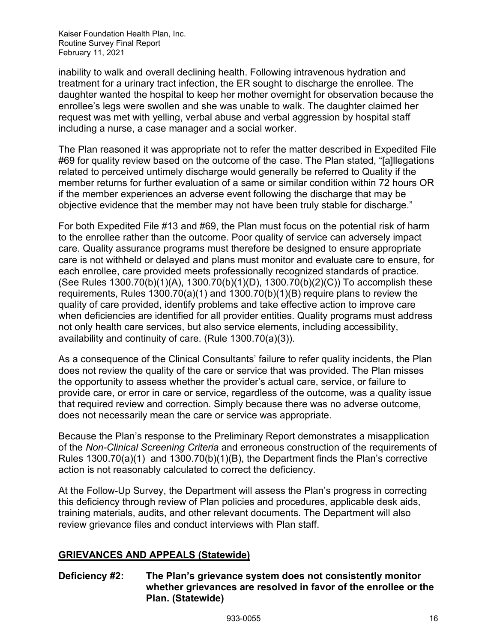inability to walk and overall declining health. Following intravenous hydration and treatment for a urinary tract infection, the ER sought to discharge the enrollee. The daughter wanted the hospital to keep her mother overnight for observation because the enrollee's legs were swollen and she was unable to walk. The daughter claimed her request was met with yelling, verbal abuse and verbal aggression by hospital staff including a nurse, a case manager and a social worker.

The Plan reasoned it was appropriate not to refer the matter described in Expedited File #69 for quality review based on the outcome of the case. The Plan stated, "[a]llegations related to perceived untimely discharge would generally be referred to Quality if the member returns for further evaluation of a same or similar condition within 72 hours OR if the member experiences an adverse event following the discharge that may be objective evidence that the member may not have been truly stable for discharge."

For both Expedited File #13 and #69, the Plan must focus on the potential risk of harm to the enrollee rather than the outcome. Poor quality of service can adversely impact care. Quality assurance programs must therefore be designed to ensure appropriate care is not withheld or delayed and plans must monitor and evaluate care to ensure, for each enrollee, care provided meets professionally recognized standards of practice. (See Rules 1300.70(b)(1)(A), 1300.70(b)(1)(D), 1300.70(b)(2)(C)) To accomplish these requirements, Rules 1300.70(a)(1) and 1300.70(b)(1)(B) require plans to review the quality of care provided, identify problems and take effective action to improve care when deficiencies are identified for all provider entities. Quality programs must address not only health care services, but also service elements, including accessibility, availability and continuity of care. (Rule 1300.70(a)(3)).

As a consequence of the Clinical Consultants' failure to refer quality incidents, the Plan does not review the quality of the care or service that was provided. The Plan misses the opportunity to assess whether the provider's actual care, service, or failure to provide care, or error in care or service, regardless of the outcome, was a quality issue that required review and correction. Simply because there was no adverse outcome, does not necessarily mean the care or service was appropriate.

Because the Plan's response to the Preliminary Report demonstrates a misapplication of the *Non-Clinical Screening Criteria* and erroneous construction of the requirements of Rules 1300.70(a)(1) and 1300.70(b)(1)(B), the Department finds the Plan's corrective action is not reasonably calculated to correct the deficiency.

At the Follow-Up Survey, the Department will assess the Plan's progress in correcting this deficiency through review of Plan policies and procedures, applicable desk aids, training materials, audits, and other relevant documents. The Department will also review grievance files and conduct interviews with Plan staff.

#### <span id="page-16-0"></span>**GRIEVANCES AND APPEALS (Statewide)**

## **Deficiency #2: The Plan's grievance system does not consistently monitor whether grievances are resolved in favor of the enrollee or the Plan. (Statewide)**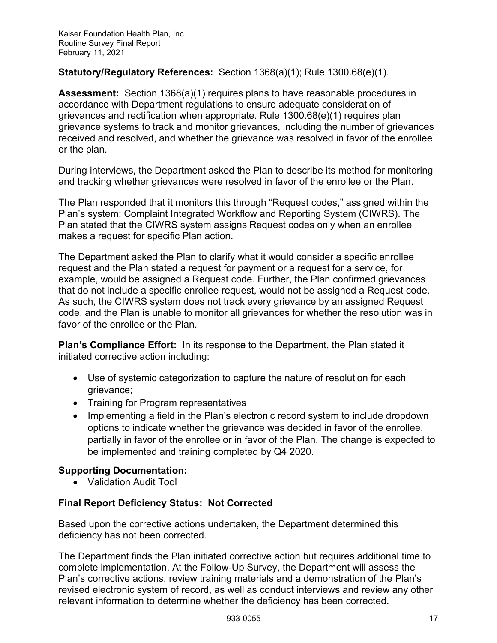## **Statutory/Regulatory References:** Section 1368(a)(1); Rule 1300.68(e)(1).

**Assessment:** Section 1368(a)(1) requires plans to have reasonable procedures in accordance with Department regulations to ensure adequate consideration of grievances and rectification when appropriate. Rule 1300.68(e)(1) requires plan grievance systems to track and monitor grievances, including the number of grievances received and resolved, and whether the grievance was resolved in favor of the enrollee or the plan.

During interviews, the Department asked the Plan to describe its method for monitoring and tracking whether grievances were resolved in favor of the enrollee or the Plan.

The Plan responded that it monitors this through "Request codes," assigned within the Plan's system: Complaint Integrated Workflow and Reporting System (CIWRS). The Plan stated that the CIWRS system assigns Request codes only when an enrollee makes a request for specific Plan action.

The Department asked the Plan to clarify what it would consider a specific enrollee request and the Plan stated a request for payment or a request for a service, for example, would be assigned a Request code. Further, the Plan confirmed grievances that do not include a specific enrollee request, would not be assigned a Request code. As such, the CIWRS system does not track every grievance by an assigned Request code, and the Plan is unable to monitor all grievances for whether the resolution was in favor of the enrollee or the Plan.

**Plan's Compliance Effort:** In its response to the Department, the Plan stated it initiated corrective action including:

- Use of systemic categorization to capture the nature of resolution for each grievance;
- Training for Program representatives
- Implementing a field in the Plan's electronic record system to include dropdown options to indicate whether the grievance was decided in favor of the enrollee, partially in favor of the enrollee or in favor of the Plan. The change is expected to be implemented and training completed by Q4 2020.

#### **Supporting Documentation:**

• Validation Audit Tool

#### **Final Report Deficiency Status: Not Corrected**

Based upon the corrective actions undertaken, the Department determined this deficiency has not been corrected.

The Department finds the Plan initiated corrective action but requires additional time to complete implementation. At the Follow-Up Survey, the Department will assess the Plan's corrective actions, review training materials and a demonstration of the Plan's revised electronic system of record, as well as conduct interviews and review any other relevant information to determine whether the deficiency has been corrected.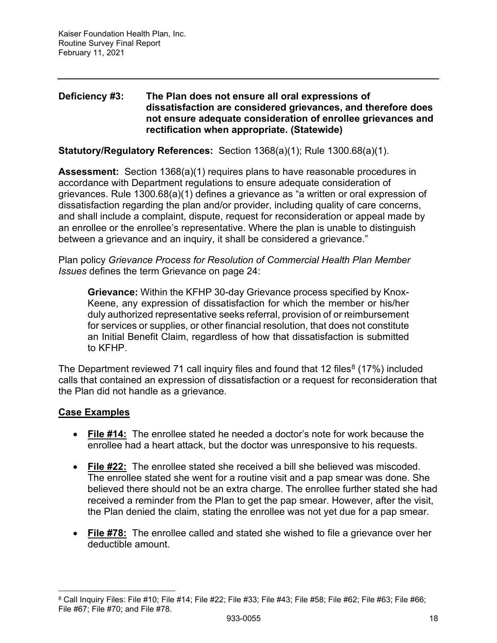#### **Deficiency #3: The Plan does not ensure all oral expressions of dissatisfaction are considered grievances, and therefore does not ensure adequate consideration of enrollee grievances and rectification when appropriate. (Statewide)**

**Statutory/Regulatory References:** Section 1368(a)(1); Rule 1300.68(a)(1).

**Assessment:** Section 1368(a)(1) requires plans to have reasonable procedures in accordance with Department regulations to ensure adequate consideration of grievances. Rule 1300.68(a)(1) defines a grievance as "a written or oral expression of dissatisfaction regarding the plan and/or provider, including quality of care concerns, and shall include a complaint, dispute, request for reconsideration or appeal made by an enrollee or the enrollee's representative. Where the plan is unable to distinguish between a grievance and an inquiry, it shall be considered a grievance."

Plan policy *Grievance Process for Resolution of Commercial Health Plan Member Issues* defines the term Grievance on page 24:

**Grievance:** Within the KFHP 30-day Grievance process specified by Knox-Keene, any expression of dissatisfaction for which the member or his/her duly authorized representative seeks referral, provision of or reimbursement for services or supplies, or other financial resolution, that does not constitute an Initial Benefit Claim, regardless of how that dissatisfaction is submitted to KFHP.

The Department reviewed 71 call inquiry files and found that 12 files<sup>[8](#page-18-0)</sup> (17%) included calls that contained an expression of dissatisfaction or a request for reconsideration that the Plan did not handle as a grievance.

## **Case Examples**

- **File #14:** The enrollee stated he needed a doctor's note for work because the enrollee had a heart attack, but the doctor was unresponsive to his requests.
- **File #22:** The enrollee stated she received a bill she believed was miscoded. The enrollee stated she went for a routine visit and a pap smear was done. She believed there should not be an extra charge. The enrollee further stated she had received a reminder from the Plan to get the pap smear. However, after the visit, the Plan denied the claim, stating the enrollee was not yet due for a pap smear.
- **File #78:** The enrollee called and stated she wished to file a grievance over her deductible amount.

<span id="page-18-0"></span><sup>8</sup> Call Inquiry Files: File #10; File #14; File #22; File #33; File #43; File #58; File #62; File #63; File #66; File #67; File #70; and File #78.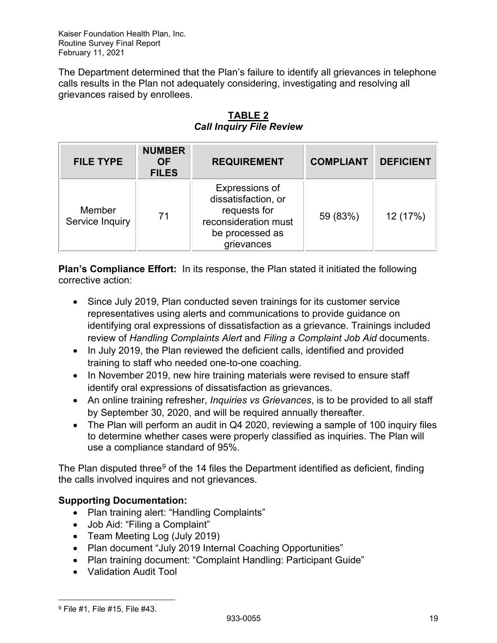The Department determined that the Plan's failure to identify all grievances in telephone calls results in the Plan not adequately considering, investigating and resolving all grievances raised by enrollees.

| <b>FILE TYPE</b>          | <b>NUMBER</b><br><b>OF</b><br><b>FILES</b> | <b>REQUIREMENT</b>                                                                                             | <b>COMPLIANT</b> | <b>DEFICIENT</b> |
|---------------------------|--------------------------------------------|----------------------------------------------------------------------------------------------------------------|------------------|------------------|
| Member<br>Service Inquiry | 71                                         | Expressions of<br>dissatisfaction, or<br>requests for<br>reconsideration must<br>be processed as<br>grievances | 59 (83%)         | 12 (17%)         |

**TABLE 2** *Call Inquiry File Review*

**Plan's Compliance Effort:** In its response, the Plan stated it initiated the following corrective action:

- Since July 2019, Plan conducted seven trainings for its customer service representatives using alerts and communications to provide guidance on identifying oral expressions of dissatisfaction as a grievance. Trainings included review of *Handling Complaints Alert* and *Filing a Complaint Job Aid* documents.
- In July 2019, the Plan reviewed the deficient calls, identified and provided training to staff who needed one-to-one coaching.
- In November 2019, new hire training materials were revised to ensure staff identify oral expressions of dissatisfaction as grievances.
- An online training refresher, *Inquiries vs Grievances*, is to be provided to all staff by September 30, 2020, and will be required annually thereafter.
- The Plan will perform an audit in Q4 2020, reviewing a sample of 100 inquiry files to determine whether cases were properly classified as inquiries. The Plan will use a compliance standard of 95%.

The Plan disputed three<sup>[9](#page-19-0)</sup> of the 14 files the Department identified as deficient, finding the calls involved inquires and not grievances.

## **Supporting Documentation:**

- Plan training alert: "Handling Complaints"
- Job Aid: "Filing a Complaint"
- Team Meeting Log (July 2019)
- Plan document "July 2019 Internal Coaching Opportunities"
- Plan training document: "Complaint Handling: Participant Guide"
- Validation Audit Tool

<span id="page-19-0"></span><sup>9</sup> File #1, File #15, File #43.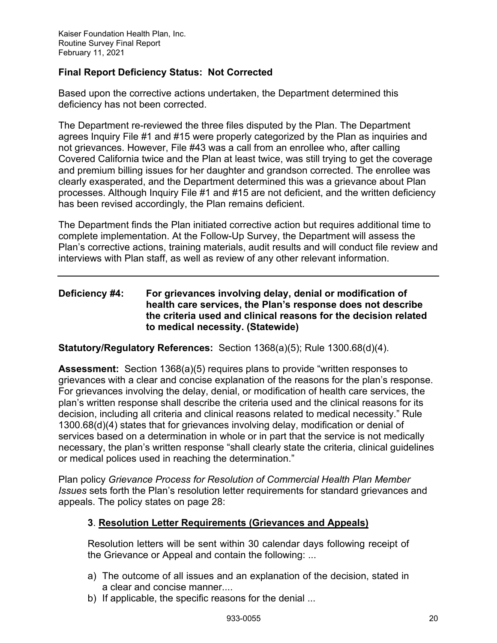## **Final Report Deficiency Status: Not Corrected**

Based upon the corrective actions undertaken, the Department determined this deficiency has not been corrected.

The Department re-reviewed the three files disputed by the Plan. The Department agrees Inquiry File #1 and #15 were properly categorized by the Plan as inquiries and not grievances. However, File #43 was a call from an enrollee who, after calling Covered California twice and the Plan at least twice, was still trying to get the coverage and premium billing issues for her daughter and grandson corrected. The enrollee was clearly exasperated, and the Department determined this was a grievance about Plan processes. Although Inquiry File #1 and #15 are not deficient, and the written deficiency has been revised accordingly, the Plan remains deficient.

The Department finds the Plan initiated corrective action but requires additional time to complete implementation. At the Follow-Up Survey, the Department will assess the Plan's corrective actions, training materials, audit results and will conduct file review and interviews with Plan staff, as well as review of any other relevant information.

### **Deficiency #4: For grievances involving delay, denial or modification of health care services, the Plan's response does not describe the criteria used and clinical reasons for the decision related to medical necessity. (Statewide)**

**Statutory/Regulatory References:** Section 1368(a)(5); Rule 1300.68(d)(4).

**Assessment:** Section 1368(a)(5) requires plans to provide "written responses to grievances with a clear and concise explanation of the reasons for the plan's response. For grievances involving the delay, denial, or modification of health care services, the plan's written response shall describe the criteria used and the clinical reasons for its decision, including all criteria and clinical reasons related to medical necessity." Rule 1300.68(d)(4) states that for grievances involving delay, modification or denial of services based on a determination in whole or in part that the service is not medically necessary, the plan's written response "shall clearly state the criteria, clinical guidelines or medical polices used in reaching the determination."

Plan policy *Grievance Process for Resolution of Commercial Health Plan Member Issues* sets forth the Plan's resolution letter requirements for standard grievances and appeals. The policy states on page 28:

#### **3**. **Resolution Letter Requirements (Grievances and Appeals)**

Resolution letters will be sent within 30 calendar days following receipt of the Grievance or Appeal and contain the following: ...

- a) The outcome of all issues and an explanation of the decision, stated in a clear and concise manner....
- b) If applicable, the specific reasons for the denial ...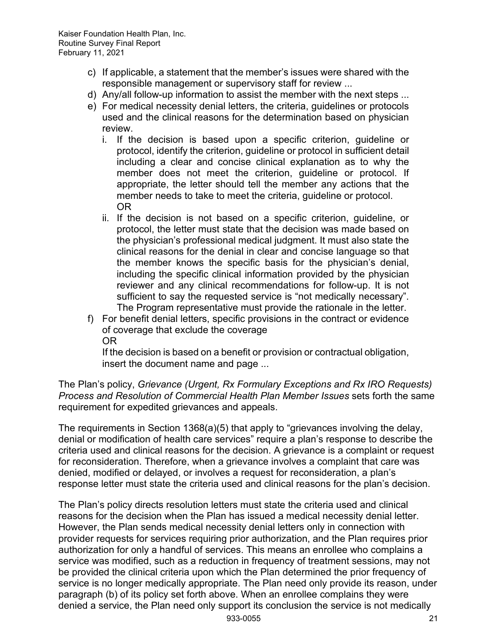- c) If applicable, a statement that the member's issues were shared with the responsible management or supervisory staff for review ...
- d) Any/all follow-up information to assist the member with the next steps ...
- e) For medical necessity denial letters, the criteria, guidelines or protocols used and the clinical reasons for the determination based on physician review.
	- i. If the decision is based upon a specific criterion, guideline or protocol, identify the criterion, guideline or protocol in sufficient detail including a clear and concise clinical explanation as to why the member does not meet the criterion, guideline or protocol. If appropriate, the letter should tell the member any actions that the member needs to take to meet the criteria, guideline or protocol. OR
	- ii. If the decision is not based on a specific criterion, guideline, or protocol, the letter must state that the decision was made based on the physician's professional medical judgment. It must also state the clinical reasons for the denial in clear and concise language so that the member knows the specific basis for the physician's denial, including the specific clinical information provided by the physician reviewer and any clinical recommendations for follow-up. It is not sufficient to say the requested service is "not medically necessary". The Program representative must provide the rationale in the letter.
- f) For benefit denial letters, specific provisions in the contract or evidence of coverage that exclude the coverage OR

If the decision is based on a benefit or provision or contractual obligation, insert the document name and page ...

The Plan's policy, *Grievance (Urgent, Rx Formulary Exceptions and Rx IRO Requests) Process and Resolution of Commercial Health Plan Member Issues* sets forth the same requirement for expedited grievances and appeals.

The requirements in Section 1368(a)(5) that apply to "grievances involving the delay, denial or modification of health care services" require a plan's response to describe the criteria used and clinical reasons for the decision. A grievance is a complaint or request for reconsideration. Therefore, when a grievance involves a complaint that care was denied, modified or delayed, or involves a request for reconsideration, a plan's response letter must state the criteria used and clinical reasons for the plan's decision.

The Plan's policy directs resolution letters must state the criteria used and clinical reasons for the decision when the Plan has issued a medical necessity denial letter. However, the Plan sends medical necessity denial letters only in connection with provider requests for services requiring prior authorization, and the Plan requires prior authorization for only a handful of services. This means an enrollee who complains a service was modified, such as a reduction in frequency of treatment sessions, may not be provided the clinical criteria upon which the Plan determined the prior frequency of service is no longer medically appropriate. The Plan need only provide its reason, under paragraph (b) of its policy set forth above. When an enrollee complains they were denied a service, the Plan need only support its conclusion the service is not medically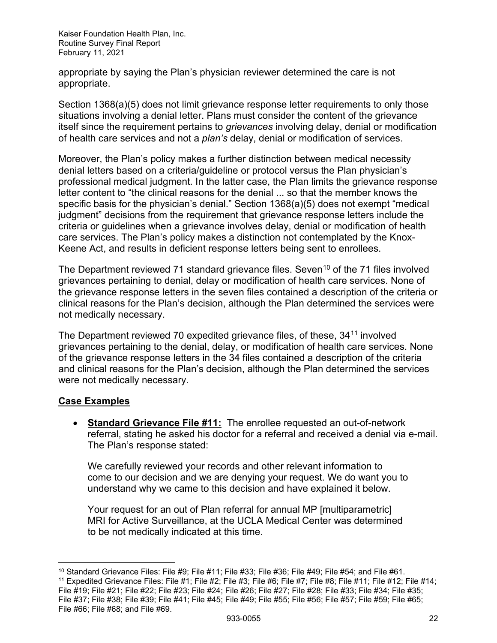appropriate by saying the Plan's physician reviewer determined the care is not appropriate.

Section 1368(a)(5) does not limit grievance response letter requirements to only those situations involving a denial letter. Plans must consider the content of the grievance itself since the requirement pertains to *grievances* involving delay, denial or modification of health care services and not a *plan's* delay, denial or modification of services.

Moreover, the Plan's policy makes a further distinction between medical necessity denial letters based on a criteria/guideline or protocol versus the Plan physician's professional medical judgment. In the latter case, the Plan limits the grievance response letter content to "the clinical reasons for the denial ... so that the member knows the specific basis for the physician's denial." Section 1368(a)(5) does not exempt "medical judgment" decisions from the requirement that grievance response letters include the criteria or guidelines when a grievance involves delay, denial or modification of health care services. The Plan's policy makes a distinction not contemplated by the Knox-Keene Act, and results in deficient response letters being sent to enrollees.

The Department reviewed 71 standard grievance files. Seven<sup>[10](#page-22-0)</sup> of the 71 files involved grievances pertaining to denial, delay or modification of health care services. None of the grievance response letters in the seven files contained a description of the criteria or clinical reasons for the Plan's decision, although the Plan determined the services were not medically necessary.

The Department reviewed 70 expedited grievance files, of these, 34<sup>[11](#page-22-1)</sup> involved grievances pertaining to the denial, delay, or modification of health care services. None of the grievance response letters in the 34 files contained a description of the criteria and clinical reasons for the Plan's decision, although the Plan determined the services were not medically necessary.

## **Case Examples**

• **Standard Grievance File #11:** The enrollee requested an out-of-network referral, stating he asked his doctor for a referral and received a denial via e-mail. The Plan's response stated:

We carefully reviewed your records and other relevant information to come to our decision and we are denying your request. We do want you to understand why we came to this decision and have explained it below.

Your request for an out of Plan referral for annual MP [multiparametric] MRI for Active Surveillance, at the UCLA Medical Center was determined to be not medically indicated at this time.

<span id="page-22-1"></span><sup>11</sup> Expedited Grievance Files: File #1; File #2; File #3; File #6; File #7; File #8; File #11; File #12; File #14; File #19; File #21; File #22; File #23; File #24; File #26; File #27; File #28; File #33; File #34; File #35; File #37; File #38; File #39; File #41; File #45; File #49; File #55; File #56; File #57; File #59; File #65; File #66; File #68; and File #69.

<span id="page-22-0"></span><sup>&</sup>lt;sup>10</sup> Standard Grievance Files: File #9; File #11; File #33; File #36; File #49; File #54; and File #61.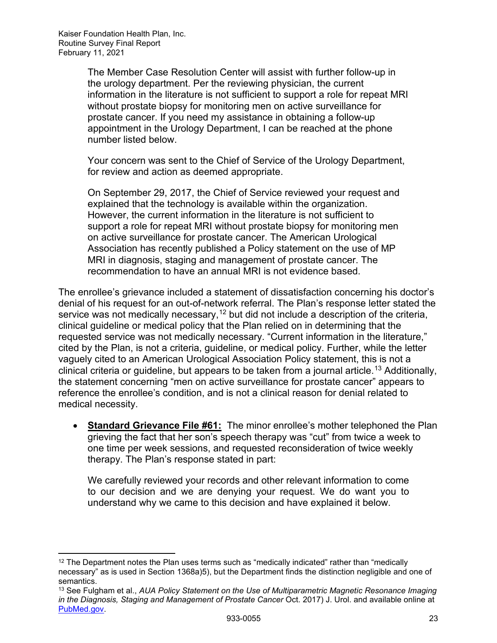The Member Case Resolution Center will assist with further follow-up in the urology department. Per the reviewing physician, the current information in the literature is not sufficient to support a role for repeat MRI without prostate biopsy for monitoring men on active surveillance for prostate cancer. If you need my assistance in obtaining a follow-up appointment in the Urology Department, I can be reached at the phone number listed below.

Your concern was sent to the Chief of Service of the Urology Department, for review and action as deemed appropriate.

On September 29, 2017, the Chief of Service reviewed your request and explained that the technology is available within the organization. However, the current information in the literature is not sufficient to support a role for repeat MRI without prostate biopsy for monitoring men on active surveillance for prostate cancer. The American Urological Association has recently published a Policy statement on the use of MP MRI in diagnosis, staging and management of prostate cancer. The recommendation to have an annual MRI is not evidence based.

The enrollee's grievance included a statement of dissatisfaction concerning his doctor's denial of his request for an out-of-network referral. The Plan's response letter stated the service was not medically necessary,  $12$  but did not include a description of the criteria, clinical guideline or medical policy that the Plan relied on in determining that the requested service was not medically necessary. "Current information in the literature," cited by the Plan, is not a criteria, guideline, or medical policy. Further, while the letter vaguely cited to an American Urological Association Policy statement, this is not a clinical criteria or guideline, but appears to be taken from a journal article.<sup>[13](#page-23-1)</sup> Additionally, the statement concerning "men on active surveillance for prostate cancer" appears to reference the enrollee's condition, and is not a clinical reason for denial related to medical necessity.

• **Standard Grievance File #61:** The minor enrollee's mother telephoned the Plan grieving the fact that her son's speech therapy was "cut" from twice a week to one time per week sessions, and requested reconsideration of twice weekly therapy. The Plan's response stated in part:

We carefully reviewed your records and other relevant information to come to our decision and we are denying your request. We do want you to understand why we came to this decision and have explained it below.

<span id="page-23-0"></span> $12$  The Department notes the Plan uses terms such as "medically indicated" rather than "medically necessary" as is used in Section 1368a)5), but the Department finds the distinction negligible and one of semantics.

<span id="page-23-1"></span><sup>13</sup> See Fulgham et al., *AUA Policy Statement on the Use of Multiparametric Magnetic Resonance Imaging in the Diagnosis, Staging and Management of Prostate Cancer* Oct. 2017) J. Urol. and available online at [PubMed.gov.](https://www.ncbi.nlm.nih.gov/pubmed/28483574)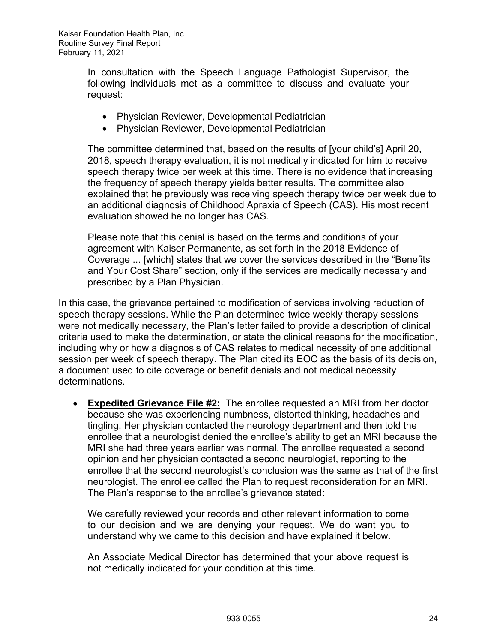In consultation with the Speech Language Pathologist Supervisor, the following individuals met as a committee to discuss and evaluate your request:

- Physician Reviewer, Developmental Pediatrician
- Physician Reviewer, Developmental Pediatrician

The committee determined that, based on the results of [your child's] April 20, 2018, speech therapy evaluation, it is not medically indicated for him to receive speech therapy twice per week at this time. There is no evidence that increasing the frequency of speech therapy yields better results. The committee also explained that he previously was receiving speech therapy twice per week due to an additional diagnosis of Childhood Apraxia of Speech (CAS). His most recent evaluation showed he no longer has CAS.

Please note that this denial is based on the terms and conditions of your agreement with Kaiser Permanente, as set forth in the 2018 Evidence of Coverage ... [which] states that we cover the services described in the "Benefits and Your Cost Share" section, only if the services are medically necessary and prescribed by a Plan Physician.

In this case, the grievance pertained to modification of services involving reduction of speech therapy sessions. While the Plan determined twice weekly therapy sessions were not medically necessary, the Plan's letter failed to provide a description of clinical criteria used to make the determination, or state the clinical reasons for the modification, including why or how a diagnosis of CAS relates to medical necessity of one additional session per week of speech therapy. The Plan cited its EOC as the basis of its decision, a document used to cite coverage or benefit denials and not medical necessity determinations.

• **Expedited Grievance File #2:** The enrollee requested an MRI from her doctor because she was experiencing numbness, distorted thinking, headaches and tingling. Her physician contacted the neurology department and then told the enrollee that a neurologist denied the enrollee's ability to get an MRI because the MRI she had three years earlier was normal. The enrollee requested a second opinion and her physician contacted a second neurologist, reporting to the enrollee that the second neurologist's conclusion was the same as that of the first neurologist. The enrollee called the Plan to request reconsideration for an MRI. The Plan's response to the enrollee's grievance stated:

We carefully reviewed your records and other relevant information to come to our decision and we are denying your request. We do want you to understand why we came to this decision and have explained it below.

An Associate Medical Director has determined that your above request is not medically indicated for your condition at this time.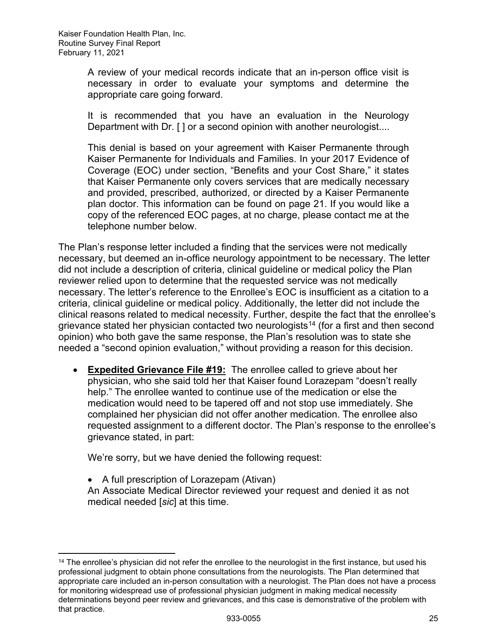A review of your medical records indicate that an in-person office visit is necessary in order to evaluate your symptoms and determine the appropriate care going forward.

It is recommended that you have an evaluation in the Neurology Department with Dr. [] or a second opinion with another neurologist....

This denial is based on your agreement with Kaiser Permanente through Kaiser Permanente for Individuals and Families. In your 2017 Evidence of Coverage (EOC) under section, "Benefits and your Cost Share," it states that Kaiser Permanente only covers services that are medically necessary and provided, prescribed, authorized, or directed by a Kaiser Permanente plan doctor. This information can be found on page 21. If you would like a copy of the referenced EOC pages, at no charge, please contact me at the telephone number below.

The Plan's response letter included a finding that the services were not medically necessary, but deemed an in-office neurology appointment to be necessary. The letter did not include a description of criteria, clinical guideline or medical policy the Plan reviewer relied upon to determine that the requested service was not medically necessary. The letter's reference to the Enrollee's EOC is insufficient as a citation to a criteria, clinical guideline or medical policy. Additionally, the letter did not include the clinical reasons related to medical necessity. Further, despite the fact that the enrollee's grievance stated her physician contacted two neurologists<sup>[14](#page-25-0)</sup> (for a first and then second opinion) who both gave the same response, the Plan's resolution was to state she needed a "second opinion evaluation," without providing a reason for this decision.

• **Expedited Grievance File #19:** The enrollee called to grieve about her physician, who she said told her that Kaiser found Lorazepam "doesn't really help." The enrollee wanted to continue use of the medication or else the medication would need to be tapered off and not stop use immediately. She complained her physician did not offer another medication. The enrollee also requested assignment to a different doctor. The Plan's response to the enrollee's grievance stated, in part:

We're sorry, but we have denied the following request:

• A full prescription of Lorazepam (Ativan) An Associate Medical Director reviewed your request and denied it as not medical needed [*sic*] at this time.

<span id="page-25-0"></span><sup>&</sup>lt;sup>14</sup> The enrollee's physician did not refer the enrollee to the neurologist in the first instance, but used his professional judgment to obtain phone consultations from the neurologists. The Plan determined that appropriate care included an in-person consultation with a neurologist. The Plan does not have a process for monitoring widespread use of professional physician judgment in making medical necessity determinations beyond peer review and grievances, and this case is demonstrative of the problem with that practice.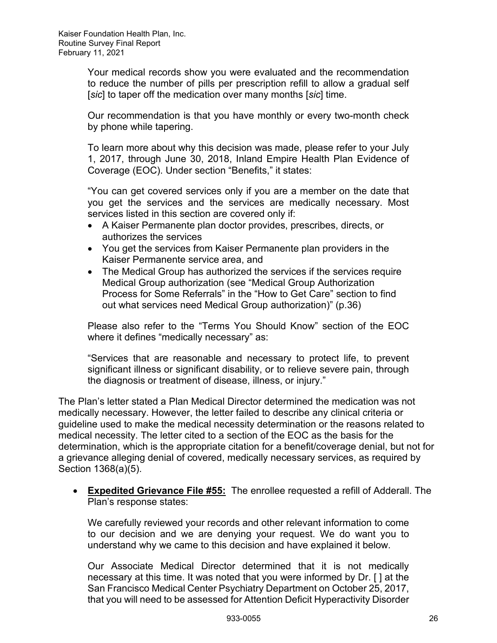Your medical records show you were evaluated and the recommendation to reduce the number of pills per prescription refill to allow a gradual self [*sic*] to taper off the medication over many months [*sic*] time.

Our recommendation is that you have monthly or every two-month check by phone while tapering.

To learn more about why this decision was made, please refer to your July 1, 2017, through June 30, 2018, Inland Empire Health Plan Evidence of Coverage (EOC). Under section "Benefits," it states:

"You can get covered services only if you are a member on the date that you get the services and the services are medically necessary. Most services listed in this section are covered only if:

- A Kaiser Permanente plan doctor provides, prescribes, directs, or authorizes the services
- You get the services from Kaiser Permanente plan providers in the Kaiser Permanente service area, and
- The Medical Group has authorized the services if the services require Medical Group authorization (see "Medical Group Authorization Process for Some Referrals" in the "How to Get Care" section to find out what services need Medical Group authorization)" (p.36)

Please also refer to the "Terms You Should Know" section of the EOC where it defines "medically necessary" as:

"Services that are reasonable and necessary to protect life, to prevent significant illness or significant disability, or to relieve severe pain, through the diagnosis or treatment of disease, illness, or injury."

The Plan's letter stated a Plan Medical Director determined the medication was not medically necessary. However, the letter failed to describe any clinical criteria or guideline used to make the medical necessity determination or the reasons related to medical necessity. The letter cited to a section of the EOC as the basis for the determination, which is the appropriate citation for a benefit/coverage denial, but not for a grievance alleging denial of covered, medically necessary services, as required by Section 1368(a)(5).

• **Expedited Grievance File #55:** The enrollee requested a refill of Adderall. The Plan's response states:

We carefully reviewed your records and other relevant information to come to our decision and we are denying your request. We do want you to understand why we came to this decision and have explained it below.

Our Associate Medical Director determined that it is not medically necessary at this time. It was noted that you were informed by Dr. [ ] at the San Francisco Medical Center Psychiatry Department on October 25, 2017, that you will need to be assessed for Attention Deficit Hyperactivity Disorder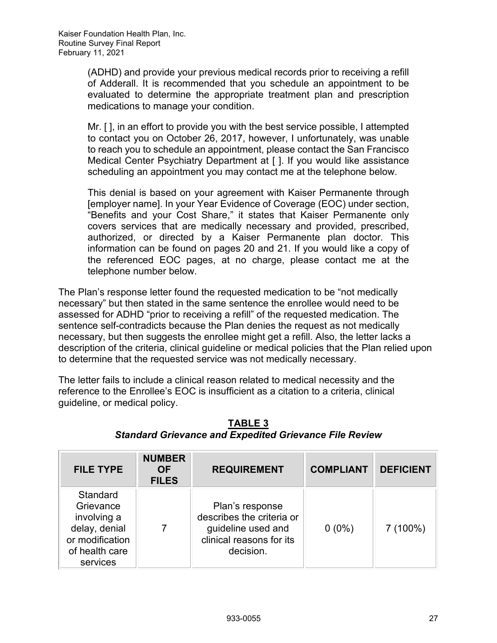(ADHD) and provide your previous medical records prior to receiving a refill of Adderall. It is recommended that you schedule an appointment to be evaluated to determine the appropriate treatment plan and prescription medications to manage your condition.

Mr. [ ], in an effort to provide you with the best service possible, I attempted to contact you on October 26, 2017, however, I unfortunately, was unable to reach you to schedule an appointment, please contact the San Francisco Medical Center Psychiatry Department at [ ]. If you would like assistance scheduling an appointment you may contact me at the telephone below.

This denial is based on your agreement with Kaiser Permanente through [employer name]. In your Year Evidence of Coverage (EOC) under section, "Benefits and your Cost Share," it states that Kaiser Permanente only covers services that are medically necessary and provided, prescribed, authorized, or directed by a Kaiser Permanente plan doctor. This information can be found on pages 20 and 21. If you would like a copy of the referenced EOC pages, at no charge, please contact me at the telephone number below.

The Plan's response letter found the requested medication to be "not medically necessary" but then stated in the same sentence the enrollee would need to be assessed for ADHD "prior to receiving a refill" of the requested medication. The sentence self-contradicts because the Plan denies the request as not medically necessary, but then suggests the enrollee might get a refill. Also, the letter lacks a description of the criteria, clinical guideline or medical policies that the Plan relied upon to determine that the requested service was not medically necessary.

The letter fails to include a clinical reason related to medical necessity and the reference to the Enrollee's EOC is insufficient as a citation to a criteria, clinical guideline, or medical policy.

| <b>FILE TYPE</b>                                                                                       | <b>NUMBER</b><br><b>OF</b><br><b>FILES</b> | <b>REQUIREMENT</b>                                                                                          | <b>COMPLIANT</b> | <b>DEFICIENT</b> |
|--------------------------------------------------------------------------------------------------------|--------------------------------------------|-------------------------------------------------------------------------------------------------------------|------------------|------------------|
| Standard<br>Grievance<br>involving a<br>delay, denial<br>or modification<br>of health care<br>services |                                            | Plan's response<br>describes the criteria or<br>guideline used and<br>clinical reasons for its<br>decision. | $0(0\%)$         | 7 (100%)         |

## **TABLE 3** *Standard Grievance and Expedited Grievance File Review*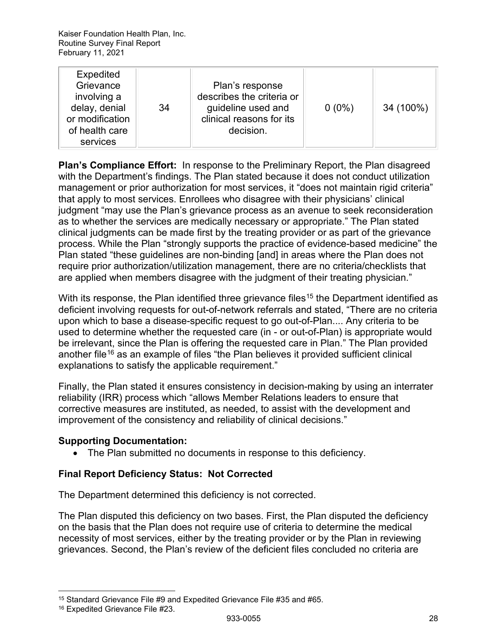| <b>Expedited</b><br>Grievance<br>involving a<br>delay, denial<br>or modification<br>of health care<br>services | 34 | Plan's response<br>describes the criteria or<br>guideline used and<br>clinical reasons for its<br>decision. | $0(0\%)$ | 34 (100%) |
|----------------------------------------------------------------------------------------------------------------|----|-------------------------------------------------------------------------------------------------------------|----------|-----------|
|----------------------------------------------------------------------------------------------------------------|----|-------------------------------------------------------------------------------------------------------------|----------|-----------|

**Plan's Compliance Effort:** In response to the Preliminary Report, the Plan disagreed with the Department's findings. The Plan stated because it does not conduct utilization management or prior authorization for most services, it "does not maintain rigid criteria" that apply to most services. Enrollees who disagree with their physicians' clinical judgment "may use the Plan's grievance process as an avenue to seek reconsideration as to whether the services are medically necessary or appropriate." The Plan stated clinical judgments can be made first by the treating provider or as part of the grievance process. While the Plan "strongly supports the practice of evidence-based medicine" the Plan stated "these guidelines are non-binding [and] in areas where the Plan does not require prior authorization/utilization management, there are no criteria/checklists that are applied when members disagree with the judgment of their treating physician."

With its response, the Plan identified three grievance files<sup>[15](#page-28-0)</sup> the Department identified as deficient involving requests for out-of-network referrals and stated, "There are no criteria upon which to base a disease-specific request to go out-of-Plan.... Any criteria to be used to determine whether the requested care (in - or out-of-Plan) is appropriate would be irrelevant, since the Plan is offering the requested care in Plan." The Plan provided another file<sup>[16](#page-28-1)</sup> as an example of files "the Plan believes it provided sufficient clinical explanations to satisfy the applicable requirement."

Finally, the Plan stated it ensures consistency in decision-making by using an interrater reliability (IRR) process which "allows Member Relations leaders to ensure that corrective measures are instituted, as needed, to assist with the development and improvement of the consistency and reliability of clinical decisions."

#### **Supporting Documentation:**

• The Plan submitted no documents in response to this deficiency.

## **Final Report Deficiency Status: Not Corrected**

The Department determined this deficiency is not corrected.

The Plan disputed this deficiency on two bases. First, the Plan disputed the deficiency on the basis that the Plan does not require use of criteria to determine the medical necessity of most services, either by the treating provider or by the Plan in reviewing grievances. Second, the Plan's review of the deficient files concluded no criteria are

<span id="page-28-0"></span><sup>15</sup> Standard Grievance File #9 and Expedited Grievance File #35 and #65.

<span id="page-28-1"></span><sup>16</sup> Expedited Grievance File #23.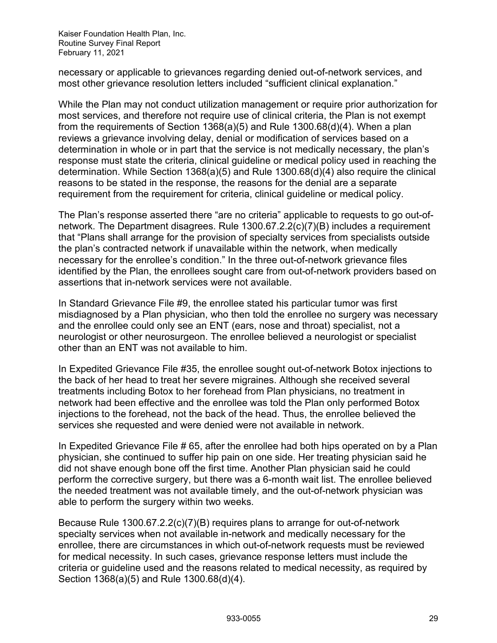necessary or applicable to grievances regarding denied out-of-network services, and most other grievance resolution letters included "sufficient clinical explanation."

While the Plan may not conduct utilization management or require prior authorization for most services, and therefore not require use of clinical criteria, the Plan is not exempt from the requirements of Section 1368(a)(5) and Rule 1300.68(d)(4). When a plan reviews a grievance involving delay, denial or modification of services based on a determination in whole or in part that the service is not medically necessary, the plan's response must state the criteria, clinical guideline or medical policy used in reaching the determination. While Section 1368(a)(5) and Rule 1300.68(d)(4) also require the clinical reasons to be stated in the response, the reasons for the denial are a separate requirement from the requirement for criteria, clinical guideline or medical policy.

The Plan's response asserted there "are no criteria" applicable to requests to go out-ofnetwork. The Department disagrees. Rule 1300.67.2.2(c)(7)(B) includes a requirement that "Plans shall arrange for the provision of specialty services from specialists outside the plan's contracted network if unavailable within the network, when medically necessary for the enrollee's condition." In the three out-of-network grievance files identified by the Plan, the enrollees sought care from out-of-network providers based on assertions that in-network services were not available.

In Standard Grievance File #9, the enrollee stated his particular tumor was first misdiagnosed by a Plan physician, who then told the enrollee no surgery was necessary and the enrollee could only see an ENT (ears, nose and throat) specialist, not a neurologist or other neurosurgeon. The enrollee believed a neurologist or specialist other than an ENT was not available to him.

In Expedited Grievance File #35, the enrollee sought out-of-network Botox injections to the back of her head to treat her severe migraines. Although she received several treatments including Botox to her forehead from Plan physicians, no treatment in network had been effective and the enrollee was told the Plan only performed Botox injections to the forehead, not the back of the head. Thus, the enrollee believed the services she requested and were denied were not available in network.

In Expedited Grievance File # 65, after the enrollee had both hips operated on by a Plan physician, she continued to suffer hip pain on one side. Her treating physician said he did not shave enough bone off the first time. Another Plan physician said he could perform the corrective surgery, but there was a 6-month wait list. The enrollee believed the needed treatment was not available timely, and the out-of-network physician was able to perform the surgery within two weeks.

Because Rule 1300.67.2.2(c)(7)(B) requires plans to arrange for out-of-network specialty services when not available in-network and medically necessary for the enrollee, there are circumstances in which out-of-network requests must be reviewed for medical necessity. In such cases, grievance response letters must include the criteria or guideline used and the reasons related to medical necessity, as required by Section 1368(a)(5) and Rule 1300.68(d)(4).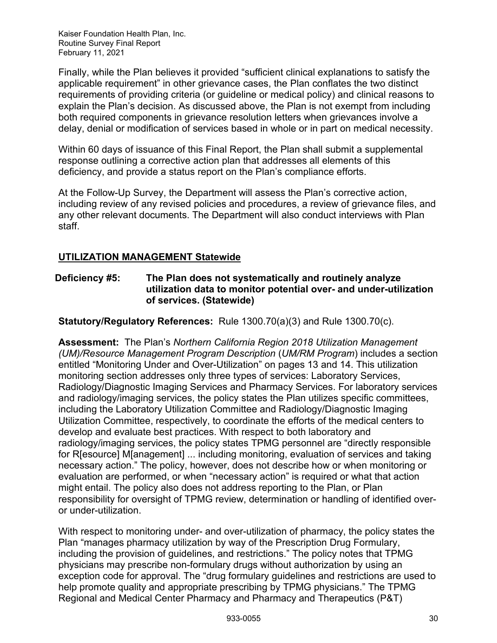Finally, while the Plan believes it provided "sufficient clinical explanations to satisfy the applicable requirement" in other grievance cases, the Plan conflates the two distinct requirements of providing criteria (or guideline or medical policy) and clinical reasons to explain the Plan's decision. As discussed above, the Plan is not exempt from including both required components in grievance resolution letters when grievances involve a delay, denial or modification of services based in whole or in part on medical necessity.

Within 60 days of issuance of this Final Report, the Plan shall submit a supplemental response outlining a corrective action plan that addresses all elements of this deficiency, and provide a status report on the Plan's compliance efforts.

At the Follow-Up Survey, the Department will assess the Plan's corrective action, including review of any revised policies and procedures, a review of grievance files, and any other relevant documents. The Department will also conduct interviews with Plan staff.

## <span id="page-30-0"></span>**UTILIZATION MANAGEMENT Statewide**

#### **Deficiency #5: The Plan does not systematically and routinely analyze utilization data to monitor potential over- and under-utilization of services. (Statewide)**

**Statutory/Regulatory References:** Rule 1300.70(a)(3) and Rule 1300.70(c).

**Assessment:** The Plan's *Northern California Region 2018 Utilization Management (UM)/Resource Management Program Description* (*UM/RM Program*) includes a section entitled "Monitoring Under and Over-Utilization" on pages 13 and 14. This utilization monitoring section addresses only three types of services: Laboratory Services, Radiology/Diagnostic Imaging Services and Pharmacy Services. For laboratory services and radiology/imaging services, the policy states the Plan utilizes specific committees, including the Laboratory Utilization Committee and Radiology/Diagnostic Imaging Utilization Committee, respectively, to coordinate the efforts of the medical centers to develop and evaluate best practices. With respect to both laboratory and radiology/imaging services, the policy states TPMG personnel are "directly responsible for R[esource] M[anagement] ... including monitoring, evaluation of services and taking necessary action." The policy, however, does not describe how or when monitoring or evaluation are performed, or when "necessary action" is required or what that action might entail. The policy also does not address reporting to the Plan, or Plan responsibility for oversight of TPMG review, determination or handling of identified overor under-utilization.

With respect to monitoring under- and over-utilization of pharmacy, the policy states the Plan "manages pharmacy utilization by way of the Prescription Drug Formulary, including the provision of guidelines, and restrictions." The policy notes that TPMG physicians may prescribe non-formulary drugs without authorization by using an exception code for approval. The "drug formulary guidelines and restrictions are used to help promote quality and appropriate prescribing by TPMG physicians." The TPMG Regional and Medical Center Pharmacy and Pharmacy and Therapeutics (P&T)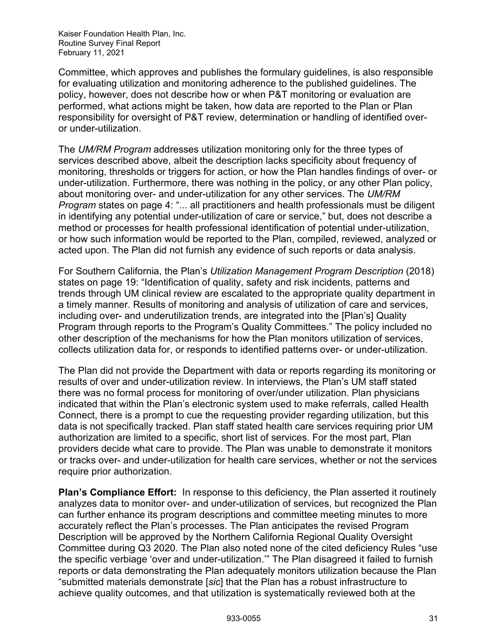Committee, which approves and publishes the formulary guidelines, is also responsible for evaluating utilization and monitoring adherence to the published guidelines. The policy, however, does not describe how or when P&T monitoring or evaluation are performed, what actions might be taken, how data are reported to the Plan or Plan responsibility for oversight of P&T review, determination or handling of identified overor under-utilization.

The *UM/RM Program* addresses utilization monitoring only for the three types of services described above, albeit the description lacks specificity about frequency of monitoring, thresholds or triggers for action, or how the Plan handles findings of over- or under-utilization. Furthermore, there was nothing in the policy, or any other Plan policy, about monitoring over- and under-utilization for any other services. The *UM/RM Program* states on page 4: "... all practitioners and health professionals must be diligent in identifying any potential under-utilization of care or service," but, does not describe a method or processes for health professional identification of potential under-utilization, or how such information would be reported to the Plan, compiled, reviewed, analyzed or acted upon. The Plan did not furnish any evidence of such reports or data analysis.

For Southern California, the Plan's *Utilization Management Program Description* (2018) states on page 19: "Identification of quality, safety and risk incidents, patterns and trends through UM clinical review are escalated to the appropriate quality department in a timely manner. Results of monitoring and analysis of utilization of care and services, including over- and underutilization trends, are integrated into the [Plan's] Quality Program through reports to the Program's Quality Committees." The policy included no other description of the mechanisms for how the Plan monitors utilization of services, collects utilization data for, or responds to identified patterns over- or under-utilization.

The Plan did not provide the Department with data or reports regarding its monitoring or results of over and under-utilization review. In interviews, the Plan's UM staff stated there was no formal process for monitoring of over/under utilization. Plan physicians indicated that within the Plan's electronic system used to make referrals, called Health Connect, there is a prompt to cue the requesting provider regarding utilization, but this data is not specifically tracked. Plan staff stated health care services requiring prior UM authorization are limited to a specific, short list of services. For the most part, Plan providers decide what care to provide. The Plan was unable to demonstrate it monitors or tracks over- and under-utilization for health care services, whether or not the services require prior authorization.

**Plan's Compliance Effort:** In response to this deficiency, the Plan asserted it routinely analyzes data to monitor over- and under-utilization of services, but recognized the Plan can further enhance its program descriptions and committee meeting minutes to more accurately reflect the Plan's processes. The Plan anticipates the revised Program Description will be approved by the Northern California Regional Quality Oversight Committee during Q3 2020. The Plan also noted none of the cited deficiency Rules "use the specific verbiage 'over and under-utilization.'" The Plan disagreed it failed to furnish reports or data demonstrating the Plan adequately monitors utilization because the Plan "submitted materials demonstrate [*sic*] that the Plan has a robust infrastructure to achieve quality outcomes, and that utilization is systematically reviewed both at the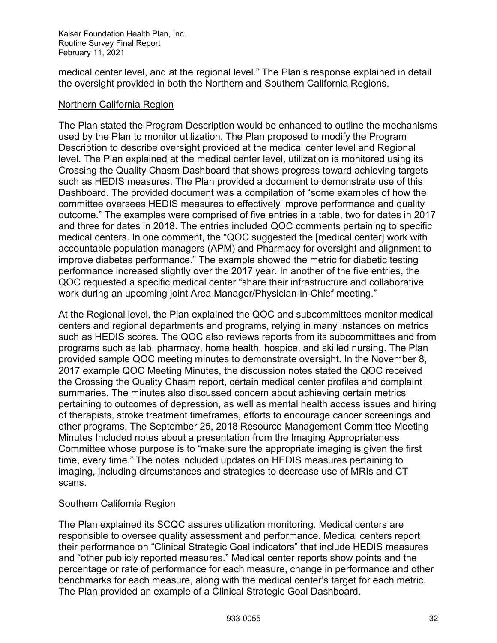medical center level, and at the regional level." The Plan's response explained in detail the oversight provided in both the Northern and Southern California Regions.

#### Northern California Region

The Plan stated the Program Description would be enhanced to outline the mechanisms used by the Plan to monitor utilization. The Plan proposed to modify the Program Description to describe oversight provided at the medical center level and Regional level. The Plan explained at the medical center level, utilization is monitored using its Crossing the Quality Chasm Dashboard that shows progress toward achieving targets such as HEDIS measures. The Plan provided a document to demonstrate use of this Dashboard. The provided document was a compilation of "some examples of how the committee oversees HEDIS measures to effectively improve performance and quality outcome." The examples were comprised of five entries in a table, two for dates in 2017 and three for dates in 2018. The entries included QOC comments pertaining to specific medical centers. In one comment, the "QOC suggested the [medical center] work with accountable population managers (APM) and Pharmacy for oversight and alignment to improve diabetes performance." The example showed the metric for diabetic testing performance increased slightly over the 2017 year. In another of the five entries, the QOC requested a specific medical center "share their infrastructure and collaborative work during an upcoming joint Area Manager/Physician-in-Chief meeting."

At the Regional level, the Plan explained the QOC and subcommittees monitor medical centers and regional departments and programs, relying in many instances on metrics such as HEDIS scores. The QOC also reviews reports from its subcommittees and from programs such as lab, pharmacy, home health, hospice, and skilled nursing. The Plan provided sample QOC meeting minutes to demonstrate oversight. In the November 8, 2017 example QOC Meeting Minutes, the discussion notes stated the QOC received the Crossing the Quality Chasm report, certain medical center profiles and complaint summaries. The minutes also discussed concern about achieving certain metrics pertaining to outcomes of depression, as well as mental health access issues and hiring of therapists, stroke treatment timeframes, efforts to encourage cancer screenings and other programs. The September 25, 2018 Resource Management Committee Meeting Minutes Included notes about a presentation from the Imaging Appropriateness Committee whose purpose is to "make sure the appropriate imaging is given the first time, every time." The notes included updates on HEDIS measures pertaining to imaging, including circumstances and strategies to decrease use of MRIs and CT scans.

#### Southern California Region

The Plan explained its SCQC assures utilization monitoring. Medical centers are responsible to oversee quality assessment and performance. Medical centers report their performance on "Clinical Strategic Goal indicators" that include HEDIS measures and "other publicly reported measures." Medical center reports show points and the percentage or rate of performance for each measure, change in performance and other benchmarks for each measure, along with the medical center's target for each metric. The Plan provided an example of a Clinical Strategic Goal Dashboard.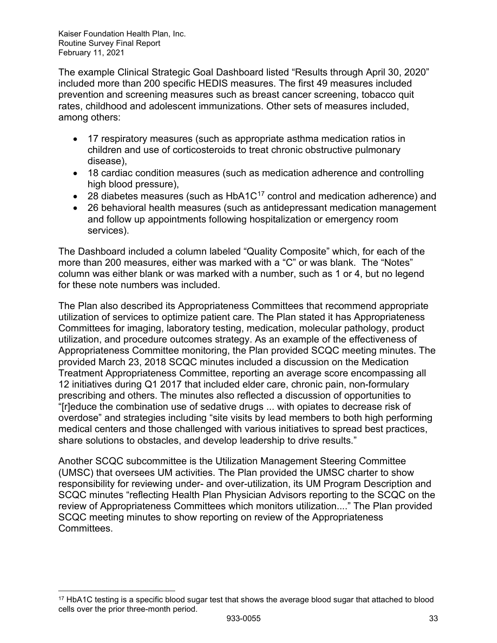The example Clinical Strategic Goal Dashboard listed "Results through April 30, 2020" included more than 200 specific HEDIS measures. The first 49 measures included prevention and screening measures such as breast cancer screening, tobacco quit rates, childhood and adolescent immunizations. Other sets of measures included, among others:

- 17 respiratory measures (such as appropriate asthma medication ratios in children and use of corticosteroids to treat chronic obstructive pulmonary disease),
- 18 cardiac condition measures (such as medication adherence and controlling high blood pressure),
- 28 diabetes measures (such as  $HbA1C^{17}$  $HbA1C^{17}$  $HbA1C^{17}$  control and medication adherence) and
- 26 behavioral health measures (such as antidepressant medication management and follow up appointments following hospitalization or emergency room services).

The Dashboard included a column labeled "Quality Composite" which, for each of the more than 200 measures, either was marked with a "C" or was blank. The "Notes" column was either blank or was marked with a number, such as 1 or 4, but no legend for these note numbers was included.

The Plan also described its Appropriateness Committees that recommend appropriate utilization of services to optimize patient care. The Plan stated it has Appropriateness Committees for imaging, laboratory testing, medication, molecular pathology, product utilization, and procedure outcomes strategy. As an example of the effectiveness of Appropriateness Committee monitoring, the Plan provided SCQC meeting minutes. The provided March 23, 2018 SCQC minutes included a discussion on the Medication Treatment Appropriateness Committee, reporting an average score encompassing all 12 initiatives during Q1 2017 that included elder care, chronic pain, non-formulary prescribing and others. The minutes also reflected a discussion of opportunities to "[r]educe the combination use of sedative drugs ... with opiates to decrease risk of overdose" and strategies including "site visits by lead members to both high performing medical centers and those challenged with various initiatives to spread best practices, share solutions to obstacles, and develop leadership to drive results."

Another SCQC subcommittee is the Utilization Management Steering Committee (UMSC) that oversees UM activities. The Plan provided the UMSC charter to show responsibility for reviewing under- and over-utilization, its UM Program Description and SCQC minutes "reflecting Health Plan Physician Advisors reporting to the SCQC on the review of Appropriateness Committees which monitors utilization...." The Plan provided SCQC meeting minutes to show reporting on review of the Appropriateness Committees.

<span id="page-33-0"></span><sup>17</sup> HbA1C testing is a specific blood sugar test that shows the average blood sugar that attached to blood cells over the prior three-month period.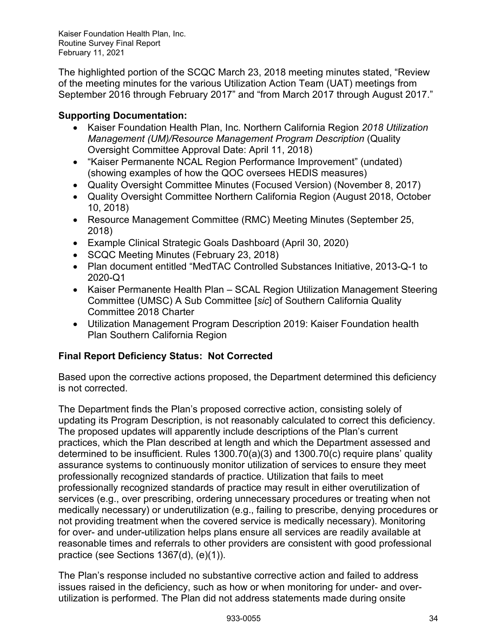The highlighted portion of the SCQC March 23, 2018 meeting minutes stated, "Review of the meeting minutes for the various Utilization Action Team (UAT) meetings from September 2016 through February 2017" and "from March 2017 through August 2017."

## **Supporting Documentation:**

- Kaiser Foundation Health Plan, Inc. Northern California Region *2018 Utilization Management (UM)/Resource Management Program Description* (Quality Oversight Committee Approval Date: April 11, 2018)
- "Kaiser Permanente NCAL Region Performance Improvement" (undated) (showing examples of how the QOC oversees HEDIS measures)
- Quality Oversight Committee Minutes (Focused Version) (November 8, 2017)
- Quality Oversight Committee Northern California Region (August 2018, October 10, 2018)
- Resource Management Committee (RMC) Meeting Minutes (September 25, 2018)
- Example Clinical Strategic Goals Dashboard (April 30, 2020)
- SCQC Meeting Minutes (February 23, 2018)
- Plan document entitled "MedTAC Controlled Substances Initiative, 2013-Q-1 to 2020-Q1
- Kaiser Permanente Health Plan SCAL Region Utilization Management Steering Committee (UMSC) A Sub Committee [*sic*] of Southern California Quality Committee 2018 Charter
- Utilization Management Program Description 2019: Kaiser Foundation health Plan Southern California Region

## **Final Report Deficiency Status: Not Corrected**

Based upon the corrective actions proposed, the Department determined this deficiency is not corrected.

The Department finds the Plan's proposed corrective action, consisting solely of updating its Program Description, is not reasonably calculated to correct this deficiency. The proposed updates will apparently include descriptions of the Plan's current practices, which the Plan described at length and which the Department assessed and determined to be insufficient. Rules 1300.70(a)(3) and 1300.70(c) require plans' quality assurance systems to continuously monitor utilization of services to ensure they meet professionally recognized standards of practice. Utilization that fails to meet professionally recognized standards of practice may result in either overutilization of services (e.g., over prescribing, ordering unnecessary procedures or treating when not medically necessary) or underutilization (e.g., failing to prescribe, denying procedures or not providing treatment when the covered service is medically necessary). Monitoring for over- and under-utilization helps plans ensure all services are readily available at reasonable times and referrals to other providers are consistent with good professional practice (see Sections 1367(d), (e)(1)).

The Plan's response included no substantive corrective action and failed to address issues raised in the deficiency, such as how or when monitoring for under- and overutilization is performed. The Plan did not address statements made during onsite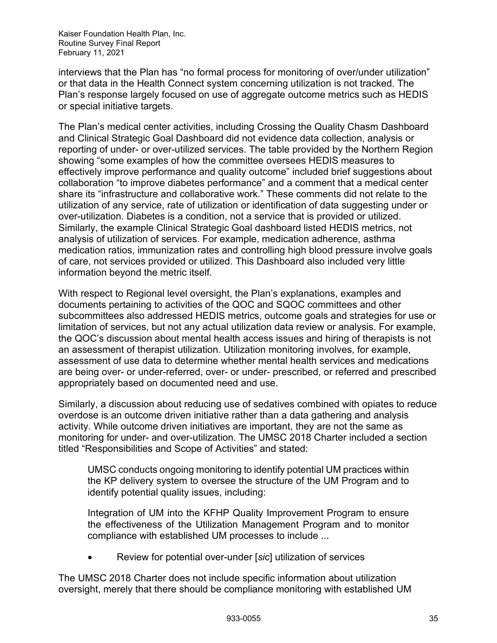interviews that the Plan has "no formal process for monitoring of over/under utilization" or that data in the Health Connect system concerning utilization is not tracked. The Plan's response largely focused on use of aggregate outcome metrics such as HEDIS or special initiative targets.

The Plan's medical center activities, including Crossing the Quality Chasm Dashboard and Clinical Strategic Goal Dashboard did not evidence data collection, analysis or reporting of under- or over-utilized services. The table provided by the Northern Region showing "some examples of how the committee oversees HEDIS measures to effectively improve performance and quality outcome" included brief suggestions about collaboration "to improve diabetes performance" and a comment that a medical center share its "infrastructure and collaborative work." These comments did not relate to the utilization of any service, rate of utilization or identification of data suggesting under or over-utilization. Diabetes is a condition, not a service that is provided or utilized. Similarly, the example Clinical Strategic Goal dashboard listed HEDIS metrics, not analysis of utilization of services. For example, medication adherence, asthma medication ratios, immunization rates and controlling high blood pressure involve goals of care, not services provided or utilized. This Dashboard also included very little information beyond the metric itself.

With respect to Regional level oversight, the Plan's explanations, examples and documents pertaining to activities of the QOC and SQOC committees and other subcommittees also addressed HEDIS metrics, outcome goals and strategies for use or limitation of services, but not any actual utilization data review or analysis. For example, the QOC's discussion about mental health access issues and hiring of therapists is not an assessment of therapist utilization. Utilization monitoring involves, for example, assessment of use data to determine whether mental health services and medications are being over- or under-referred, over- or under- prescribed, or referred and prescribed appropriately based on documented need and use.

Similarly, a discussion about reducing use of sedatives combined with opiates to reduce overdose is an outcome driven initiative rather than a data gathering and analysis activity. While outcome driven initiatives are important, they are not the same as monitoring for under- and over-utilization. The UMSC 2018 Charter included a section titled "Responsibilities and Scope of Activities" and stated:

UMSC conducts ongoing monitoring to identify potential UM practices within the KP delivery system to oversee the structure of the UM Program and to identify potential quality issues, including:

Integration of UM into the KFHP Quality Improvement Program to ensure the effectiveness of the Utilization Management Program and to monitor compliance with established UM processes to include ...

• Review for potential over-under [*sic*] utilization of services

The UMSC 2018 Charter does not include specific information about utilization oversight, merely that there should be compliance monitoring with established UM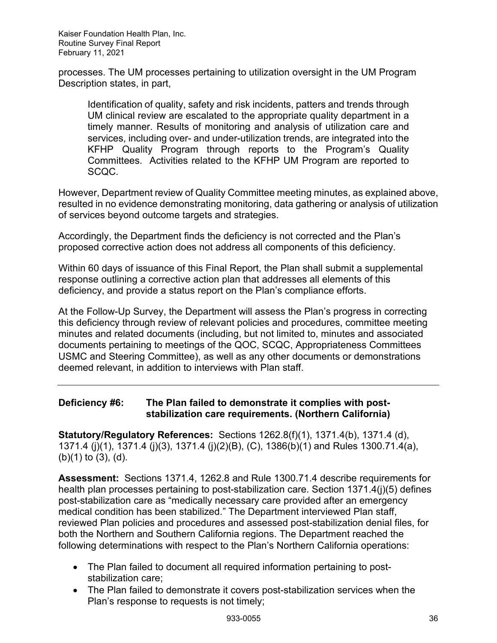processes. The UM processes pertaining to utilization oversight in the UM Program Description states, in part,

Identification of quality, safety and risk incidents, patters and trends through UM clinical review are escalated to the appropriate quality department in a timely manner. Results of monitoring and analysis of utilization care and services, including over- and under-utilization trends, are integrated into the KFHP Quality Program through reports to the Program's Quality Committees. Activities related to the KFHP UM Program are reported to SCQC.

However, Department review of Quality Committee meeting minutes, as explained above, resulted in no evidence demonstrating monitoring, data gathering or analysis of utilization of services beyond outcome targets and strategies.

Accordingly, the Department finds the deficiency is not corrected and the Plan's proposed corrective action does not address all components of this deficiency.

Within 60 days of issuance of this Final Report, the Plan shall submit a supplemental response outlining a corrective action plan that addresses all elements of this deficiency, and provide a status report on the Plan's compliance efforts.

At the Follow-Up Survey, the Department will assess the Plan's progress in correcting this deficiency through review of relevant policies and procedures, committee meeting minutes and related documents (including, but not limited to, minutes and associated documents pertaining to meetings of the QOC, SCQC, Appropriateness Committees USMC and Steering Committee), as well as any other documents or demonstrations deemed relevant, in addition to interviews with Plan staff.

## **Deficiency #6: The Plan failed to demonstrate it complies with poststabilization care requirements. (Northern California)**

**Statutory/Regulatory References:** Sections 1262.8(f)(1), 1371.4(b), 1371.4 (d), 1371.4 (j)(1), 1371.4 (j)(3), 1371.4 (j)(2)(B), (C), 1386(b)(1) and Rules 1300.71.4(a), (b)(1) to (3), (d).

**Assessment:** Sections 1371.4, 1262.8 and Rule 1300.71.4 describe requirements for health plan processes pertaining to post-stabilization care. Section 1371.4(j)(5) defines post-stabilization care as "medically necessary care provided after an emergency medical condition has been stabilized." The Department interviewed Plan staff, reviewed Plan policies and procedures and assessed post-stabilization denial files, for both the Northern and Southern California regions. The Department reached the following determinations with respect to the Plan's Northern California operations:

- The Plan failed to document all required information pertaining to poststabilization care;
- The Plan failed to demonstrate it covers post-stabilization services when the Plan's response to requests is not timely;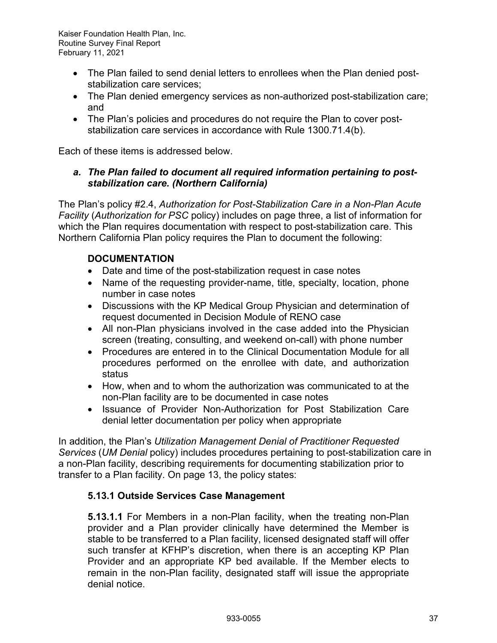- The Plan failed to send denial letters to enrollees when the Plan denied poststabilization care services;
- The Plan denied emergency services as non-authorized post-stabilization care; and
- The Plan's policies and procedures do not require the Plan to cover poststabilization care services in accordance with Rule 1300.71.4(b).

Each of these items is addressed below.

## *a. The Plan failed to document all required information pertaining to poststabilization care. (Northern California)*

The Plan's policy #2.4, *Authorization for Post-Stabilization Care in a Non-Plan Acute Facility* (*Authorization for PSC* policy) includes on page three, a list of information for which the Plan requires documentation with respect to post-stabilization care. This Northern California Plan policy requires the Plan to document the following:

## **DOCUMENTATION**

- Date and time of the post-stabilization request in case notes
- Name of the requesting provider-name, title, specialty, location, phone number in case notes
- Discussions with the KP Medical Group Physician and determination of request documented in Decision Module of RENO case
- All non-Plan physicians involved in the case added into the Physician screen (treating, consulting, and weekend on-call) with phone number
- Procedures are entered in to the Clinical Documentation Module for all procedures performed on the enrollee with date, and authorization status
- How, when and to whom the authorization was communicated to at the non-Plan facility are to be documented in case notes
- Issuance of Provider Non-Authorization for Post Stabilization Care denial letter documentation per policy when appropriate

In addition, the Plan's *Utilization Management Denial of Practitioner Requested Services* (*UM Denial* policy) includes procedures pertaining to post-stabilization care in a non-Plan facility, describing requirements for documenting stabilization prior to transfer to a Plan facility. On page 13, the policy states:

## **5.13.1 Outside Services Case Management**

**5.13.1.1** For Members in a non-Plan facility, when the treating non-Plan provider and a Plan provider clinically have determined the Member is stable to be transferred to a Plan facility, licensed designated staff will offer such transfer at KFHP's discretion, when there is an accepting KP Plan Provider and an appropriate KP bed available. If the Member elects to remain in the non-Plan facility, designated staff will issue the appropriate denial notice.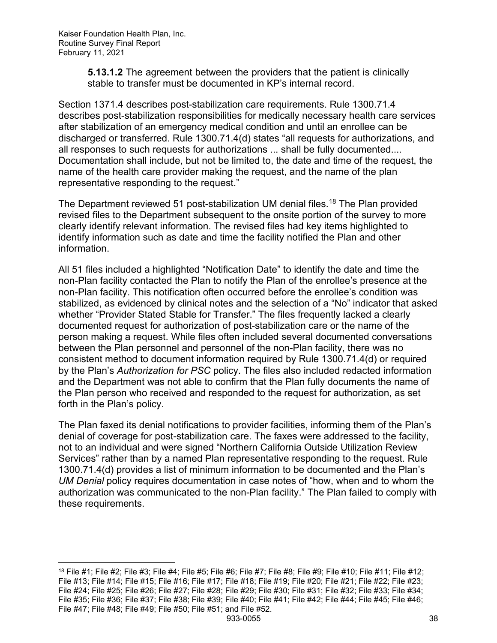**5.13.1.2** The agreement between the providers that the patient is clinically stable to transfer must be documented in KP's internal record.

Section 1371.4 describes post-stabilization care requirements. Rule 1300.71.4 describes post-stabilization responsibilities for medically necessary health care services after stabilization of an emergency medical condition and until an enrollee can be discharged or transferred. Rule 1300.71.4(d) states "all requests for authorizations, and all responses to such requests for authorizations ... shall be fully documented.... Documentation shall include, but not be limited to, the date and time of the request, the name of the health care provider making the request, and the name of the plan representative responding to the request."

The Department reviewed 51 post-stabilization UM denial files.<sup>[18](#page-38-0)</sup> The Plan provided revised files to the Department subsequent to the onsite portion of the survey to more clearly identify relevant information. The revised files had key items highlighted to identify information such as date and time the facility notified the Plan and other information.

All 51 files included a highlighted "Notification Date" to identify the date and time the non-Plan facility contacted the Plan to notify the Plan of the enrollee's presence at the non-Plan facility. This notification often occurred before the enrollee's condition was stabilized, as evidenced by clinical notes and the selection of a "No" indicator that asked whether "Provider Stated Stable for Transfer." The files frequently lacked a clearly documented request for authorization of post-stabilization care or the name of the person making a request. While files often included several documented conversations between the Plan personnel and personnel of the non-Plan facility, there was no consistent method to document information required by Rule 1300.71.4(d) or required by the Plan's *Authorization for PSC* policy. The files also included redacted information and the Department was not able to confirm that the Plan fully documents the name of the Plan person who received and responded to the request for authorization, as set forth in the Plan's policy.

The Plan faxed its denial notifications to provider facilities, informing them of the Plan's denial of coverage for post-stabilization care. The faxes were addressed to the facility, not to an individual and were signed "Northern California Outside Utilization Review Services" rather than by a named Plan representative responding to the request. Rule 1300.71.4(d) provides a list of minimum information to be documented and the Plan's *UM Denial* policy requires documentation in case notes of "how, when and to whom the authorization was communicated to the non-Plan facility." The Plan failed to comply with these requirements.

<span id="page-38-0"></span> $18$  File #1; File #2; File #3; File #4; File #5; File #6; File #7; File #8; File #9; File #10; File #11; File #12; File #13; File #14; File #15; File #16; File #17; File #18; File #19; File #20; File #21; File #22; File #23; File #24; File #25; File #26; File #27; File #28; File #29; File #30; File #31; File #32; File #33; File #34; File #35; File #36; File #37; File #38; File #39; File #40; File #41; File #42; File #44; File #45; File #46; File #47; File #48; File #49; File #50; File #51; and File #52.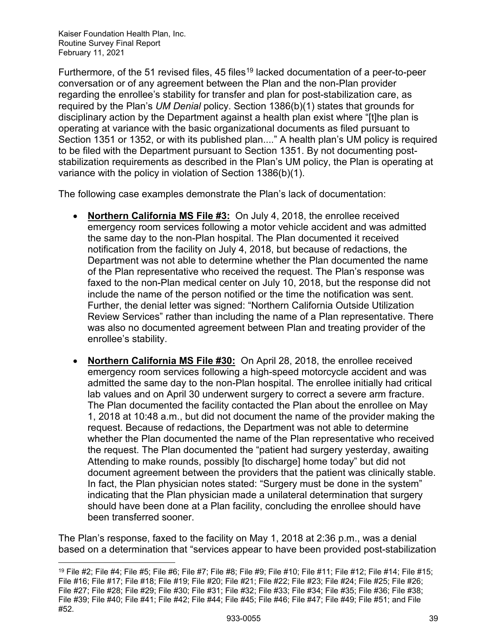Furthermore, of the 51 revised files, 45 files<sup>[19](#page-39-0)</sup> lacked documentation of a peer-to-peer conversation or of any agreement between the Plan and the non-Plan provider regarding the enrollee's stability for transfer and plan for post-stabilization care, as required by the Plan's *UM Denial* policy. Section 1386(b)(1) states that grounds for disciplinary action by the Department against a health plan exist where "[t]he plan is operating at variance with the basic organizational documents as filed pursuant to Section 1351 or 1352, or with its published plan...." A health plan's UM policy is required to be filed with the Department pursuant to Section 1351. By not documenting poststabilization requirements as described in the Plan's UM policy, the Plan is operating at variance with the policy in violation of Section 1386(b)(1).

The following case examples demonstrate the Plan's lack of documentation:

- **Northern California MS File #3:** On July 4, 2018, the enrollee received emergency room services following a motor vehicle accident and was admitted the same day to the non-Plan hospital. The Plan documented it received notification from the facility on July 4, 2018, but because of redactions, the Department was not able to determine whether the Plan documented the name of the Plan representative who received the request. The Plan's response was faxed to the non-Plan medical center on July 10, 2018, but the response did not include the name of the person notified or the time the notification was sent. Further, the denial letter was signed: "Northern California Outside Utilization Review Services" rather than including the name of a Plan representative. There was also no documented agreement between Plan and treating provider of the enrollee's stability.
- **Northern California MS File #30:** On April 28, 2018, the enrollee received emergency room services following a high-speed motorcycle accident and was admitted the same day to the non-Plan hospital. The enrollee initially had critical lab values and on April 30 underwent surgery to correct a severe arm fracture. The Plan documented the facility contacted the Plan about the enrollee on May 1, 2018 at 10:48 a.m., but did not document the name of the provider making the request. Because of redactions, the Department was not able to determine whether the Plan documented the name of the Plan representative who received the request. The Plan documented the "patient had surgery yesterday, awaiting Attending to make rounds, possibly [to discharge] home today" but did not document agreement between the providers that the patient was clinically stable. In fact, the Plan physician notes stated: "Surgery must be done in the system" indicating that the Plan physician made a unilateral determination that surgery should have been done at a Plan facility, concluding the enrollee should have been transferred sooner.

The Plan's response, faxed to the facility on May 1, 2018 at 2:36 p.m., was a denial based on a determination that "services appear to have been provided post-stabilization

<span id="page-39-0"></span><sup>19</sup> File #2; File #4; File #5; File #6; File #7; File #8; File #9; File #10; File #11; File #12; File #14; File #15; File #16; File #17; File #18; File #19; File #20; File #21; File #22; File #23; File #24; File #25; File #26; File #27; File #28; File #29; File #30; File #31; File #32; File #33; File #34; File #35; File #36; File #38; File #39; File #40; File #41; File #42; File #44; File #45; File #46; File #47; File #49; File #51; and File #52.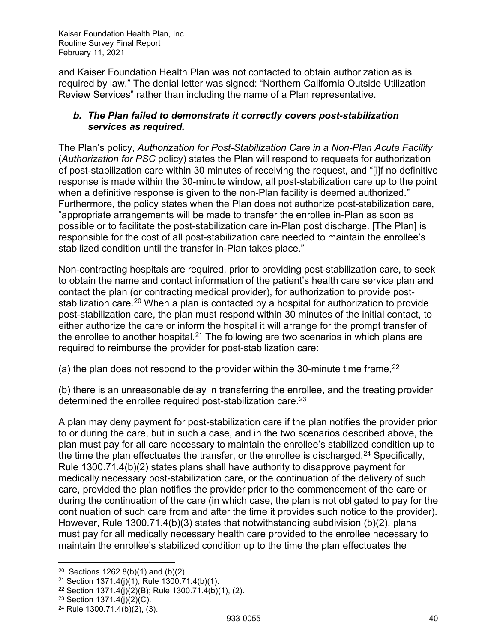and Kaiser Foundation Health Plan was not contacted to obtain authorization as is required by law." The denial letter was signed: "Northern California Outside Utilization Review Services" rather than including the name of a Plan representative.

## *b. The Plan failed to demonstrate it correctly covers post-stabilization services as required.*

The Plan's policy, *Authorization for Post-Stabilization Care in a Non-Plan Acute Facility* (*Authorization for PSC* policy) states the Plan will respond to requests for authorization of post-stabilization care within 30 minutes of receiving the request, and "[i]f no definitive response is made within the 30-minute window, all post-stabilization care up to the point when a definitive response is given to the non-Plan facility is deemed authorized." Furthermore, the policy states when the Plan does not authorize post-stabilization care, "appropriate arrangements will be made to transfer the enrollee in-Plan as soon as possible or to facilitate the post-stabilization care in-Plan post discharge. [The Plan] is responsible for the cost of all post-stabilization care needed to maintain the enrollee's stabilized condition until the transfer in-Plan takes place."

Non-contracting hospitals are required, prior to providing post-stabilization care, to seek to obtain the name and contact information of the patient's health care service plan and contact the plan (or contracting medical provider), for authorization to provide post-stabilization care.<sup>[20](#page-40-0)</sup> When a plan is contacted by a hospital for authorization to provide post-stabilization care, the plan must respond within 30 minutes of the initial contact, to either authorize the care or inform the hospital it will arrange for the prompt transfer of the enrollee to another hospital.<sup>[21](#page-40-1)</sup> The following are two scenarios in which plans are required to reimburse the provider for post-stabilization care:

(a) the plan does not respond to the provider within the 30-minute time frame,  $22$ 

(b) there is an unreasonable delay in transferring the enrollee, and the treating provider determined the enrollee required post-stabilization care.<sup>[23](#page-40-3)</sup>

A plan may deny payment for post-stabilization care if the plan notifies the provider prior to or during the care, but in such a case, and in the two scenarios described above, the plan must pay for all care necessary to maintain the enrollee's stabilized condition up to the time the plan effectuates the transfer, or the enrollee is discharged.<sup>[24](#page-40-4)</sup> Specifically, Rule 1300.71.4(b)(2) states plans shall have authority to disapprove payment for medically necessary post-stabilization care, or the continuation of the delivery of such care, provided the plan notifies the provider prior to the commencement of the care or during the continuation of the care (in which case, the plan is not obligated to pay for the continuation of such care from and after the time it provides such notice to the provider). However, Rule 1300.71.4(b)(3) states that notwithstanding subdivision (b)(2), plans must pay for all medically necessary health care provided to the enrollee necessary to maintain the enrollee's stabilized condition up to the time the plan effectuates the

<span id="page-40-0"></span><sup>&</sup>lt;sup>20</sup> Sections  $1262.8(b)(1)$  and  $(b)(2)$ .

<span id="page-40-1"></span><sup>21</sup> Section 1371.4(j)(1), Rule 1300.71.4(b)(1).

<span id="page-40-2"></span><sup>22</sup> Section 1371.4(j)(2)(B); Rule 1300.71.4(b)(1), (2).

<span id="page-40-3"></span><sup>23</sup> Section 1371.4(j)(2)(C).

<span id="page-40-4"></span><sup>24</sup> Rule 1300.71.4(b)(2), (3).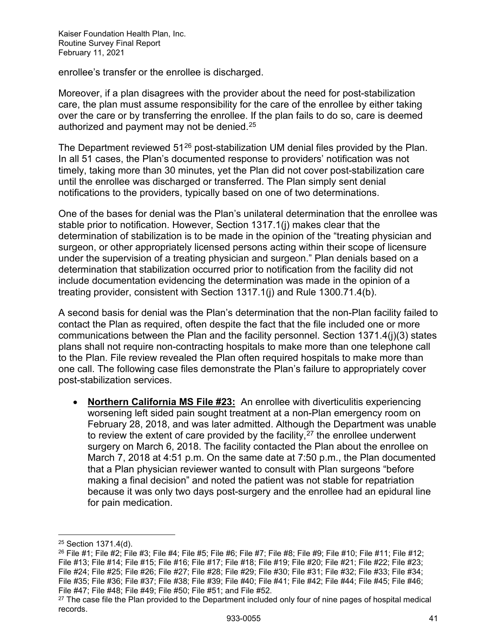enrollee's transfer or the enrollee is discharged.

Moreover, if a plan disagrees with the provider about the need for post-stabilization care, the plan must assume responsibility for the care of the enrollee by either taking over the care or by transferring the enrollee. If the plan fails to do so, care is deemed authorized and payment may not be denied.<sup>[25](#page-41-0)</sup>

The Department reviewed 51<sup>[26](#page-41-1)</sup> post-stabilization UM denial files provided by the Plan. In all 51 cases, the Plan's documented response to providers' notification was not timely, taking more than 30 minutes, yet the Plan did not cover post-stabilization care until the enrollee was discharged or transferred. The Plan simply sent denial notifications to the providers, typically based on one of two determinations.

One of the bases for denial was the Plan's unilateral determination that the enrollee was stable prior to notification. However, Section 1317.1(j) makes clear that the determination of stabilization is to be made in the opinion of the "treating physician and surgeon, or other appropriately licensed persons acting within their scope of licensure under the supervision of a treating physician and surgeon." Plan denials based on a determination that stabilization occurred prior to notification from the facility did not include documentation evidencing the determination was made in the opinion of a treating provider, consistent with Section 1317.1(j) and Rule 1300.71.4(b).

A second basis for denial was the Plan's determination that the non-Plan facility failed to contact the Plan as required, often despite the fact that the file included one or more communications between the Plan and the facility personnel. Section 1371.4(j)(3) states plans shall not require non-contracting hospitals to make more than one telephone call to the Plan. File review revealed the Plan often required hospitals to make more than one call. The following case files demonstrate the Plan's failure to appropriately cover post-stabilization services.

• **Northern California MS File #23:** An enrollee with diverticulitis experiencing worsening left sided pain sought treatment at a non-Plan emergency room on February 28, 2018, and was later admitted. Although the Department was unable to review the extent of care provided by the facility, $27$  the enrollee underwent surgery on March 6, 2018. The facility contacted the Plan about the enrollee on March 7, 2018 at 4:51 p.m. On the same date at 7:50 p.m., the Plan documented that a Plan physician reviewer wanted to consult with Plan surgeons "before making a final decision" and noted the patient was not stable for repatriation because it was only two days post-surgery and the enrollee had an epidural line for pain medication.

<span id="page-41-0"></span><sup>25</sup> Section 1371.4(d).

<span id="page-41-1"></span> $^{26}$  File #1; File #2; File #3; File #4; File #5; File #6; File #7; File #8; File #9; File #10; File #11; File #12; File #13; File #14; File #15; File #16; File #17; File #18; File #19; File #20; File #21; File #22; File #23; File #24; File #25; File #26; File #27; File #28; File #29; File #30; File #31; File #32; File #33; File #34; File #35; File #36; File #37; File #38; File #39; File #40; File #41; File #42; File #44; File #45; File #46; File #47; File #48; File #49; File #50; File #51; and File #52.

<span id="page-41-2"></span><sup>&</sup>lt;sup>27</sup> The case file the Plan provided to the Department included only four of nine pages of hospital medical records.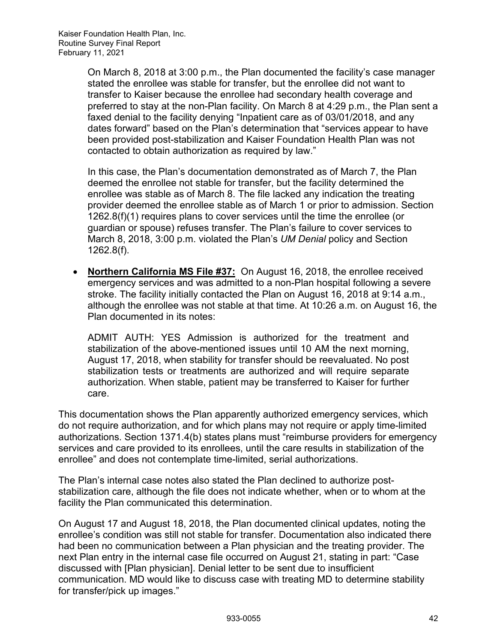On March 8, 2018 at 3:00 p.m., the Plan documented the facility's case manager stated the enrollee was stable for transfer, but the enrollee did not want to transfer to Kaiser because the enrollee had secondary health coverage and preferred to stay at the non-Plan facility. On March 8 at 4:29 p.m., the Plan sent a faxed denial to the facility denying "Inpatient care as of 03/01/2018, and any dates forward" based on the Plan's determination that "services appear to have been provided post-stabilization and Kaiser Foundation Health Plan was not contacted to obtain authorization as required by law."

In this case, the Plan's documentation demonstrated as of March 7, the Plan deemed the enrollee not stable for transfer, but the facility determined the enrollee was stable as of March 8. The file lacked any indication the treating provider deemed the enrollee stable as of March 1 or prior to admission. Section 1262.8(f)(1) requires plans to cover services until the time the enrollee (or guardian or spouse) refuses transfer. The Plan's failure to cover services to March 8, 2018, 3:00 p.m. violated the Plan's *UM Denial* policy and Section 1262.8(f).

• **Northern California MS File #37:** On August 16, 2018, the enrollee received emergency services and was admitted to a non-Plan hospital following a severe stroke. The facility initially contacted the Plan on August 16, 2018 at 9:14 a.m., although the enrollee was not stable at that time. At 10:26 a.m. on August 16, the Plan documented in its notes:

ADMIT AUTH: YES Admission is authorized for the treatment and stabilization of the above-mentioned issues until 10 AM the next morning, August 17, 2018, when stability for transfer should be reevaluated. No post stabilization tests or treatments are authorized and will require separate authorization. When stable, patient may be transferred to Kaiser for further care.

This documentation shows the Plan apparently authorized emergency services, which do not require authorization, and for which plans may not require or apply time-limited authorizations. Section 1371.4(b) states plans must "reimburse providers for emergency services and care provided to its enrollees, until the care results in stabilization of the enrollee" and does not contemplate time-limited, serial authorizations.

The Plan's internal case notes also stated the Plan declined to authorize poststabilization care, although the file does not indicate whether, when or to whom at the facility the Plan communicated this determination.

On August 17 and August 18, 2018, the Plan documented clinical updates, noting the enrollee's condition was still not stable for transfer. Documentation also indicated there had been no communication between a Plan physician and the treating provider. The next Plan entry in the internal case file occurred on August 21, stating in part: "Case discussed with [Plan physician]. Denial letter to be sent due to insufficient communication. MD would like to discuss case with treating MD to determine stability for transfer/pick up images."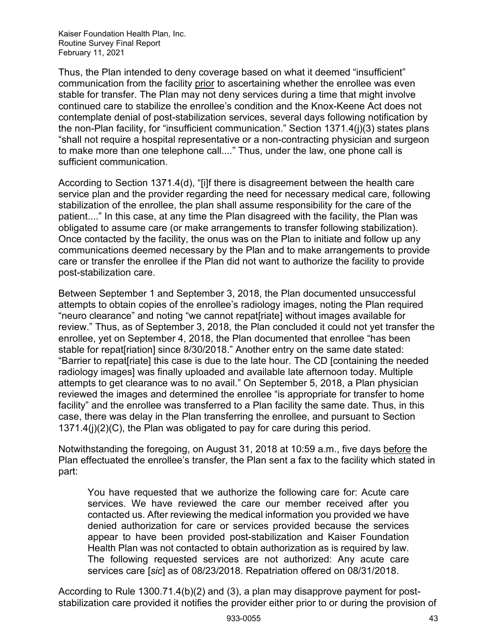Thus, the Plan intended to deny coverage based on what it deemed "insufficient" communication from the facility prior to ascertaining whether the enrollee was even stable for transfer. The Plan may not deny services during a time that might involve continued care to stabilize the enrollee's condition and the Knox-Keene Act does not contemplate denial of post-stabilization services, several days following notification by the non-Plan facility, for "insufficient communication." Section 1371.4(j)(3) states plans "shall not require a hospital representative or a non-contracting physician and surgeon to make more than one telephone call...." Thus, under the law, one phone call is sufficient communication.

According to Section 1371.4(d), "[i]f there is disagreement between the health care service plan and the provider regarding the need for necessary medical care, following stabilization of the enrollee, the plan shall assume responsibility for the care of the patient...." In this case, at any time the Plan disagreed with the facility, the Plan was obligated to assume care (or make arrangements to transfer following stabilization). Once contacted by the facility, the onus was on the Plan to initiate and follow up any communications deemed necessary by the Plan and to make arrangements to provide care or transfer the enrollee if the Plan did not want to authorize the facility to provide post-stabilization care.

Between September 1 and September 3, 2018, the Plan documented unsuccessful attempts to obtain copies of the enrollee's radiology images, noting the Plan required "neuro clearance" and noting "we cannot repat[riate] without images available for review." Thus, as of September 3, 2018, the Plan concluded it could not yet transfer the enrollee, yet on September 4, 2018, the Plan documented that enrollee "has been stable for repat[riation] since 8/30/2018." Another entry on the same date stated: "Barrier to repat[riate] this case is due to the late hour. The CD [containing the needed radiology images] was finally uploaded and available late afternoon today. Multiple attempts to get clearance was to no avail." On September 5, 2018, a Plan physician reviewed the images and determined the enrollee "is appropriate for transfer to home facility" and the enrollee was transferred to a Plan facility the same date. Thus, in this case, there was delay in the Plan transferring the enrollee, and pursuant to Section 1371.4(j)(2)(C), the Plan was obligated to pay for care during this period.

Notwithstanding the foregoing, on August 31, 2018 at 10:59 a.m., five days before the Plan effectuated the enrollee's transfer, the Plan sent a fax to the facility which stated in part:

You have requested that we authorize the following care for: Acute care services. We have reviewed the care our member received after you contacted us. After reviewing the medical information you provided we have denied authorization for care or services provided because the services appear to have been provided post-stabilization and Kaiser Foundation Health Plan was not contacted to obtain authorization as is required by law. The following requested services are not authorized: Any acute care services care [*sic*] as of 08/23/2018. Repatriation offered on 08/31/2018.

According to Rule 1300.71.4(b)(2) and (3), a plan may disapprove payment for poststabilization care provided it notifies the provider either prior to or during the provision of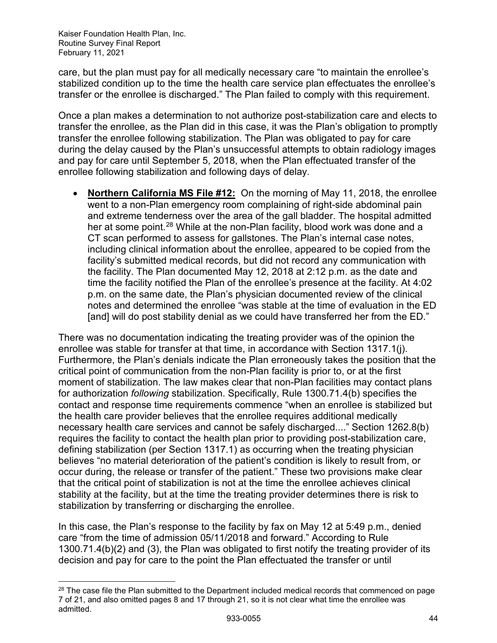care, but the plan must pay for all medically necessary care "to maintain the enrollee's stabilized condition up to the time the health care service plan effectuates the enrollee's transfer or the enrollee is discharged." The Plan failed to comply with this requirement.

Once a plan makes a determination to not authorize post-stabilization care and elects to transfer the enrollee, as the Plan did in this case, it was the Plan's obligation to promptly transfer the enrollee following stabilization. The Plan was obligated to pay for care during the delay caused by the Plan's unsuccessful attempts to obtain radiology images and pay for care until September 5, 2018, when the Plan effectuated transfer of the enrollee following stabilization and following days of delay.

• **Northern California MS File #12:** On the morning of May 11, 2018, the enrollee went to a non-Plan emergency room complaining of right-side abdominal pain and extreme tenderness over the area of the gall bladder. The hospital admitted her at some point.<sup>[28](#page-44-0)</sup> While at the non-Plan facility, blood work was done and a CT scan performed to assess for gallstones. The Plan's internal case notes, including clinical information about the enrollee, appeared to be copied from the facility's submitted medical records, but did not record any communication with the facility. The Plan documented May 12, 2018 at 2:12 p.m. as the date and time the facility notified the Plan of the enrollee's presence at the facility. At 4:02 p.m. on the same date, the Plan's physician documented review of the clinical notes and determined the enrollee "was stable at the time of evaluation in the ED [and] will do post stability denial as we could have transferred her from the ED."

There was no documentation indicating the treating provider was of the opinion the enrollee was stable for transfer at that time, in accordance with Section 1317.1(j). Furthermore, the Plan's denials indicate the Plan erroneously takes the position that the critical point of communication from the non-Plan facility is prior to, or at the first moment of stabilization. The law makes clear that non-Plan facilities may contact plans for authorization *following* stabilization. Specifically, Rule 1300.71.4(b) specifies the contact and response time requirements commence "when an enrollee is stabilized but the health care provider believes that the enrollee requires additional medically necessary health care services and cannot be safely discharged...." Section 1262.8(b) requires the facility to contact the health plan prior to providing post-stabilization care, defining stabilization (per Section 1317.1) as occurring when the treating physician believes "no material deterioration of the patient's condition is likely to result from, or occur during, the release or transfer of the patient." These two provisions make clear that the critical point of stabilization is not at the time the enrollee achieves clinical stability at the facility, but at the time the treating provider determines there is risk to stabilization by transferring or discharging the enrollee.

In this case, the Plan's response to the facility by fax on May 12 at 5:49 p.m., denied care "from the time of admission 05/11/2018 and forward." According to Rule 1300.71.4(b)(2) and (3), the Plan was obligated to first notify the treating provider of its decision and pay for care to the point the Plan effectuated the transfer or until

<span id="page-44-0"></span><sup>&</sup>lt;sup>28</sup> The case file the Plan submitted to the Department included medical records that commenced on page 7 of 21, and also omitted pages 8 and 17 through 21, so it is not clear what time the enrollee was admitted.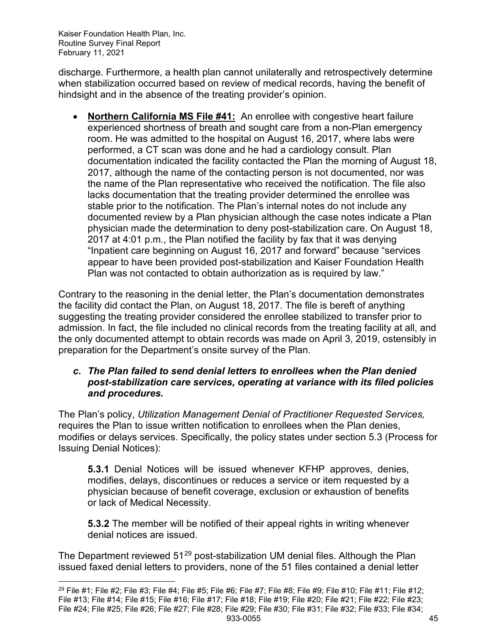discharge. Furthermore, a health plan cannot unilaterally and retrospectively determine when stabilization occurred based on review of medical records, having the benefit of hindsight and in the absence of the treating provider's opinion.

• **Northern California MS File #41:** An enrollee with congestive heart failure experienced shortness of breath and sought care from a non-Plan emergency room. He was admitted to the hospital on August 16, 2017, where labs were performed, a CT scan was done and he had a cardiology consult. Plan documentation indicated the facility contacted the Plan the morning of August 18, 2017, although the name of the contacting person is not documented, nor was the name of the Plan representative who received the notification. The file also lacks documentation that the treating provider determined the enrollee was stable prior to the notification. The Plan's internal notes do not include any documented review by a Plan physician although the case notes indicate a Plan physician made the determination to deny post-stabilization care. On August 18, 2017 at 4:01 p.m., the Plan notified the facility by fax that it was denying "Inpatient care beginning on August 16, 2017 and forward" because "services appear to have been provided post-stabilization and Kaiser Foundation Health Plan was not contacted to obtain authorization as is required by law."

Contrary to the reasoning in the denial letter, the Plan's documentation demonstrates the facility did contact the Plan, on August 18, 2017. The file is bereft of anything suggesting the treating provider considered the enrollee stabilized to transfer prior to admission. In fact, the file included no clinical records from the treating facility at all, and the only documented attempt to obtain records was made on April 3, 2019, ostensibly in preparation for the Department's onsite survey of the Plan.

## *c. The Plan failed to send denial letters to enrollees when the Plan denied post-stabilization care services, operating at variance with its filed policies and procedures.*

The Plan's policy, *Utilization Management Denial of Practitioner Requested Services,* requires the Plan to issue written notification to enrollees when the Plan denies, modifies or delays services. Specifically, the policy states under section 5.3 (Process for Issuing Denial Notices):

**5.3.1** Denial Notices will be issued whenever KFHP approves, denies, modifies, delays, discontinues or reduces a service or item requested by a physician because of benefit coverage, exclusion or exhaustion of benefits or lack of Medical Necessity.

**5.3.2** The member will be notified of their appeal rights in writing whenever denial notices are issued.

The Department reviewed 51<sup>[29](#page-45-0)</sup> post-stabilization UM denial files. Although the Plan issued faxed denial letters to providers, none of the 51 files contained a denial letter

<span id="page-45-0"></span><sup>933-0055</sup> 45 <sup>29</sup> File #1; File #2; File #3; File #4; File #5; File #6; File #7; File #8; File #9; File #10; File #11; File #12; File #13; File #14; File #15; File #16; File #17; File #18; File #19; File #20; File #21; File #22; File #23; File #24; File #25; File #26; File #27; File #28; File #29; File #30; File #31; File #32; File #33; File #34;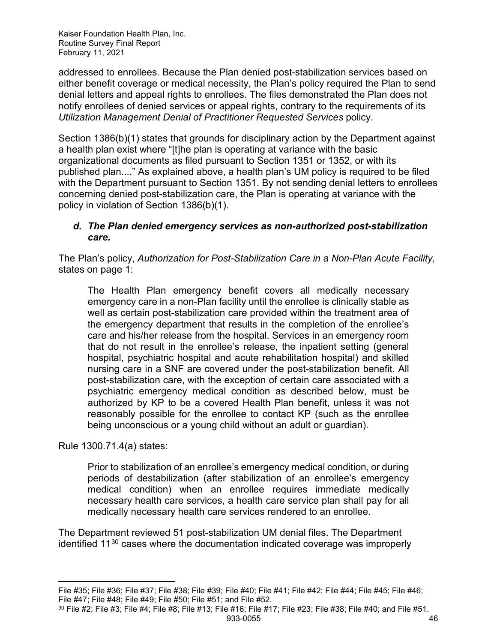addressed to enrollees. Because the Plan denied post-stabilization services based on either benefit coverage or medical necessity, the Plan's policy required the Plan to send denial letters and appeal rights to enrollees. The files demonstrated the Plan does not notify enrollees of denied services or appeal rights, contrary to the requirements of its *Utilization Management Denial of Practitioner Requested Services* policy.

Section 1386(b)(1) states that grounds for disciplinary action by the Department against a health plan exist where "[t]he plan is operating at variance with the basic organizational documents as filed pursuant to Section 1351 or 1352, or with its published plan...." As explained above, a health plan's UM policy is required to be filed with the Department pursuant to Section 1351. By not sending denial letters to enrollees concerning denied post-stabilization care, the Plan is operating at variance with the policy in violation of Section 1386(b)(1).

### *d. The Plan denied emergency services as non-authorized post-stabilization care.*

The Plan's policy, *Authorization for Post-Stabilization Care in a Non-Plan Acute Facility,*  states on page 1:

The Health Plan emergency benefit covers all medically necessary emergency care in a non-Plan facility until the enrollee is clinically stable as well as certain post-stabilization care provided within the treatment area of the emergency department that results in the completion of the enrollee's care and his/her release from the hospital. Services in an emergency room that do not result in the enrollee's release, the inpatient setting (general hospital, psychiatric hospital and acute rehabilitation hospital) and skilled nursing care in a SNF are covered under the post-stabilization benefit. All post-stabilization care, with the exception of certain care associated with a psychiatric emergency medical condition as described below, must be authorized by KP to be a covered Health Plan benefit, unless it was not reasonably possible for the enrollee to contact KP (such as the enrollee being unconscious or a young child without an adult or guardian).

Rule 1300.71.4(a) states:

Prior to stabilization of an enrollee's emergency medical condition, or during periods of destabilization (after stabilization of an enrollee's emergency medical condition) when an enrollee requires immediate medically necessary health care services, a health care service plan shall pay for all medically necessary health care services rendered to an enrollee.

The Department reviewed 51 post-stabilization UM denial files. The Department identified 11[30](#page-46-0) cases where the documentation indicated coverage was improperly

<span id="page-46-0"></span>933-0055 46  $30$  File #2; File #3; File #4; File #8; File #13; File #16; File #17; File #23; File #38; File #40; and File #51.

File #35; File #36; File #37; File #38; File #39; File #40; File #41; File #42; File #44; File #45; File #46; File #47; File #48; File #49; File #50; File #51; and File #52.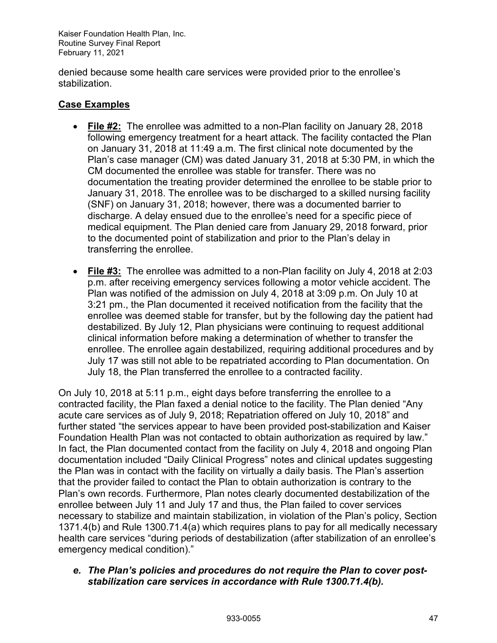denied because some health care services were provided prior to the enrollee's stabilization.

## **Case Examples**

- **File #2:** The enrollee was admitted to a non-Plan facility on January 28, 2018 following emergency treatment for a heart attack. The facility contacted the Plan on January 31, 2018 at 11:49 a.m. The first clinical note documented by the Plan's case manager (CM) was dated January 31, 2018 at 5:30 PM, in which the CM documented the enrollee was stable for transfer. There was no documentation the treating provider determined the enrollee to be stable prior to January 31, 2018. The enrollee was to be discharged to a skilled nursing facility (SNF) on January 31, 2018; however, there was a documented barrier to discharge. A delay ensued due to the enrollee's need for a specific piece of medical equipment. The Plan denied care from January 29, 2018 forward, prior to the documented point of stabilization and prior to the Plan's delay in transferring the enrollee.
- **File #3:** The enrollee was admitted to a non-Plan facility on July 4, 2018 at 2:03 p.m. after receiving emergency services following a motor vehicle accident. The Plan was notified of the admission on July 4, 2018 at 3:09 p.m. On July 10 at 3:21 pm., the Plan documented it received notification from the facility that the enrollee was deemed stable for transfer, but by the following day the patient had destabilized. By July 12, Plan physicians were continuing to request additional clinical information before making a determination of whether to transfer the enrollee. The enrollee again destabilized, requiring additional procedures and by July 17 was still not able to be repatriated according to Plan documentation. On July 18, the Plan transferred the enrollee to a contracted facility.

On July 10, 2018 at 5:11 p.m., eight days before transferring the enrollee to a contracted facility, the Plan faxed a denial notice to the facility. The Plan denied "Any acute care services as of July 9, 2018; Repatriation offered on July 10, 2018" and further stated "the services appear to have been provided post-stabilization and Kaiser Foundation Health Plan was not contacted to obtain authorization as required by law." In fact, the Plan documented contact from the facility on July 4, 2018 and ongoing Plan documentation included "Daily Clinical Progress" notes and clinical updates suggesting the Plan was in contact with the facility on virtually a daily basis. The Plan's assertion that the provider failed to contact the Plan to obtain authorization is contrary to the Plan's own records. Furthermore, Plan notes clearly documented destabilization of the enrollee between July 11 and July 17 and thus, the Plan failed to cover services necessary to stabilize and maintain stabilization, in violation of the Plan's policy, Section 1371.4(b) and Rule 1300.71.4(a) which requires plans to pay for all medically necessary health care services "during periods of destabilization (after stabilization of an enrollee's emergency medical condition)."

*e. The Plan's policies and procedures do not require the Plan to cover poststabilization care services in accordance with Rule 1300.71.4(b).*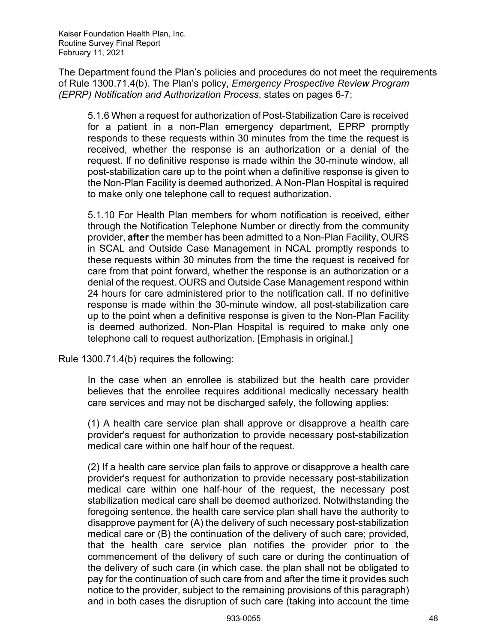The Department found the Plan's policies and procedures do not meet the requirements of Rule 1300.71.4(b). The Plan's policy, *Emergency Prospective Review Program (EPRP) Notification and Authorization Process*, states on pages 6-7:

5.1.6 When a request for authorization of Post-Stabilization Care is received for a patient in a non-Plan emergency department, EPRP promptly responds to these requests within 30 minutes from the time the request is received, whether the response is an authorization or a denial of the request. If no definitive response is made within the 30-minute window, all post-stabilization care up to the point when a definitive response is given to the Non-Plan Facility is deemed authorized. A Non-Plan Hospital is required to make only one telephone call to request authorization.

5.1.10 For Health Plan members for whom notification is received, either through the Notification Telephone Number or directly from the community provider, **after** the member has been admitted to a Non-Plan Facility, OURS in SCAL and Outside Case Management in NCAL promptly responds to these requests within 30 minutes from the time the request is received for care from that point forward, whether the response is an authorization or a denial of the request. OURS and Outside Case Management respond within 24 hours for care administered prior to the notification call. If no definitive response is made within the 30-minute window, all post-stabilization care up to the point when a definitive response is given to the Non-Plan Facility is deemed authorized. Non-Plan Hospital is required to make only one telephone call to request authorization. [Emphasis in original.]

Rule 1300.71.4(b) requires the following:

In the case when an enrollee is stabilized but the health care provider believes that the enrollee requires additional medically necessary health care services and may not be discharged safely, the following applies:

(1) A health care service plan shall approve or disapprove a health care provider's request for authorization to provide necessary post-stabilization medical care within one half hour of the request.

(2) If a health care service plan fails to approve or disapprove a health care provider's request for authorization to provide necessary post-stabilization medical care within one half-hour of the request, the necessary post stabilization medical care shall be deemed authorized. Notwithstanding the foregoing sentence, the health care service plan shall have the authority to disapprove payment for (A) the delivery of such necessary post-stabilization medical care or (B) the continuation of the delivery of such care; provided, that the health care service plan notifies the provider prior to the commencement of the delivery of such care or during the continuation of the delivery of such care (in which case, the plan shall not be obligated to pay for the continuation of such care from and after the time it provides such notice to the provider, subject to the remaining provisions of this paragraph) and in both cases the disruption of such care (taking into account the time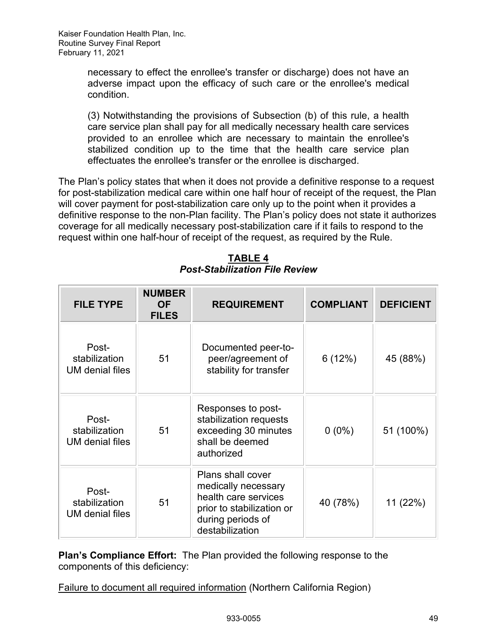necessary to effect the enrollee's transfer or discharge) does not have an adverse impact upon the efficacy of such care or the enrollee's medical condition.

(3) Notwithstanding the provisions of Subsection (b) of this rule, a health care service plan shall pay for all medically necessary health care services provided to an enrollee which are necessary to maintain the enrollee's stabilized condition up to the time that the health care service plan effectuates the enrollee's transfer or the enrollee is discharged.

The Plan's policy states that when it does not provide a definitive response to a request for post-stabilization medical care within one half hour of receipt of the request, the Plan will cover payment for post-stabilization care only up to the point when it provides a definitive response to the non-Plan facility. The Plan's policy does not state it authorizes coverage for all medically necessary post-stabilization care if it fails to respond to the request within one half-hour of receipt of the request, as required by the Rule.

| <b>FILE TYPE</b>                                 | <b>NUMBER</b><br><b>OF</b><br><b>FILES</b> | <b>REQUIREMENT</b>                                                                                                                           | <b>COMPLIANT</b> | <b>DEFICIENT</b> |
|--------------------------------------------------|--------------------------------------------|----------------------------------------------------------------------------------------------------------------------------------------------|------------------|------------------|
| Post-<br>stabilization<br><b>UM</b> denial files | 51                                         | Documented peer-to-<br>peer/agreement of<br>stability for transfer                                                                           | 6(12%)           | 45 (88%)         |
| Post-<br>stabilization<br><b>UM</b> denial files | 51                                         | Responses to post-<br>stabilization requests<br>exceeding 30 minutes<br>shall be deemed<br>authorized                                        | $0(0\%)$         | 51 (100%)        |
| Post-<br>stabilization<br><b>UM</b> denial files | 51                                         | <b>Plans shall cover</b><br>medically necessary<br>health care services<br>prior to stabilization or<br>during periods of<br>destabilization | 40 (78%)         | 11 (22%)         |

**TABLE 4** *Post-Stabilization File Review*

**Plan's Compliance Effort:** The Plan provided the following response to the components of this deficiency:

Failure to document all required information (Northern California Region)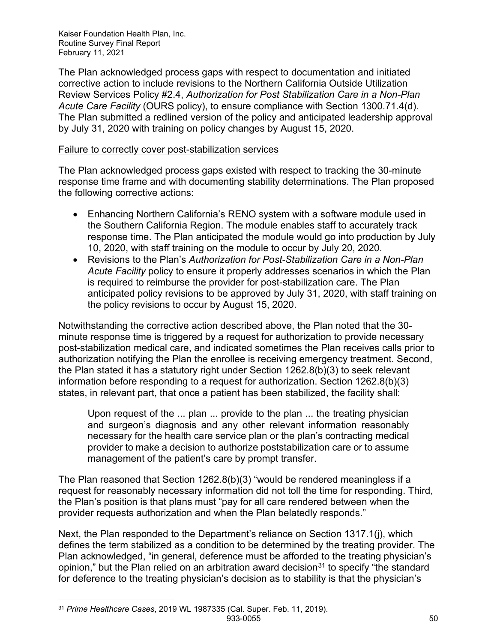The Plan acknowledged process gaps with respect to documentation and initiated corrective action to include revisions to the Northern California Outside Utilization Review Services Policy #2.4, *Authorization for Post Stabilization Care in a Non-Plan Acute Care Facility* (OURS policy), to ensure compliance with Section 1300.71.4(d). The Plan submitted a redlined version of the policy and anticipated leadership approval by July 31, 2020 with training on policy changes by August 15, 2020.

#### Failure to correctly cover post-stabilization services

The Plan acknowledged process gaps existed with respect to tracking the 30-minute response time frame and with documenting stability determinations. The Plan proposed the following corrective actions:

- Enhancing Northern California's RENO system with a software module used in the Southern California Region. The module enables staff to accurately track response time. The Plan anticipated the module would go into production by July 10, 2020, with staff training on the module to occur by July 20, 2020.
- Revisions to the Plan's *Authorization for Post-Stabilization Care in a Non-Plan Acute Facility* policy to ensure it properly addresses scenarios in which the Plan is required to reimburse the provider for post-stabilization care. The Plan anticipated policy revisions to be approved by July 31, 2020, with staff training on the policy revisions to occur by August 15, 2020.

Notwithstanding the corrective action described above, the Plan noted that the 30 minute response time is triggered by a request for authorization to provide necessary post-stabilization medical care, and indicated sometimes the Plan receives calls prior to authorization notifying the Plan the enrollee is receiving emergency treatment. Second, the Plan stated it has a statutory right under Section 1262.8(b)(3) to seek relevant information before responding to a request for authorization. Section 1262.8(b)(3) states, in relevant part, that once a patient has been stabilized, the facility shall:

Upon request of the ... plan ... provide to the plan ... the treating physician and surgeon's diagnosis and any other relevant information reasonably necessary for the health care service plan or the plan's contracting medical provider to make a decision to authorize poststabilization care or to assume management of the patient's care by prompt transfer.

The Plan reasoned that Section 1262.8(b)(3) "would be rendered meaningless if a request for reasonably necessary information did not toll the time for responding. Third, the Plan's position is that plans must "pay for all care rendered between when the provider requests authorization and when the Plan belatedly responds."

Next, the Plan responded to the Department's reliance on Section 1317.1(j), which defines the term stabilized as a condition to be determined by the treating provider. The Plan acknowledged, "in general, deference must be afforded to the treating physician's opinion," but the Plan relied on an arbitration award decision $31$  to specify "the standard for deference to the treating physician's decision as to stability is that the physician's

<span id="page-50-0"></span><sup>31</sup> *Prime Healthcare Cases*, 2019 WL 1987335 (Cal. Super. Feb. 11, 2019).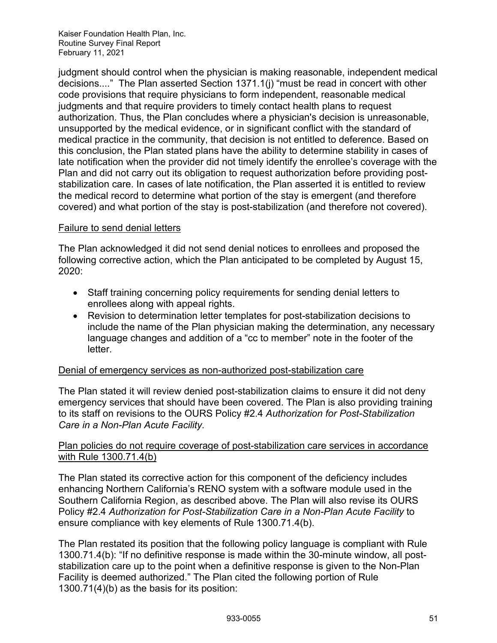judgment should control when the physician is making reasonable, independent medical decisions...." The Plan asserted Section 1371.1(j) "must be read in concert with other code provisions that require physicians to form independent, reasonable medical judgments and that require providers to timely contact health plans to request authorization. Thus, the Plan concludes where a physician's decision is unreasonable, unsupported by the medical evidence, or in significant conflict with the standard of medical practice in the community, that decision is not entitled to deference. Based on this conclusion, the Plan stated plans have the ability to determine stability in cases of late notification when the provider did not timely identify the enrollee's coverage with the Plan and did not carry out its obligation to request authorization before providing poststabilization care. In cases of late notification, the Plan asserted it is entitled to review the medical record to determine what portion of the stay is emergent (and therefore covered) and what portion of the stay is post-stabilization (and therefore not covered).

#### Failure to send denial letters

The Plan acknowledged it did not send denial notices to enrollees and proposed the following corrective action, which the Plan anticipated to be completed by August 15, 2020:

- Staff training concerning policy requirements for sending denial letters to enrollees along with appeal rights.
- Revision to determination letter templates for post-stabilization decisions to include the name of the Plan physician making the determination, any necessary language changes and addition of a "cc to member" note in the footer of the letter.

#### Denial of emergency services as non-authorized post-stabilization care

The Plan stated it will review denied post-stabilization claims to ensure it did not deny emergency services that should have been covered. The Plan is also providing training to its staff on revisions to the OURS Policy #2.4 *Authorization for Post-Stabilization Care in a Non-Plan Acute Facility.* 

#### Plan policies do not require coverage of post-stabilization care services in accordance with Rule 1300.71.4(b)

The Plan stated its corrective action for this component of the deficiency includes enhancing Northern California's RENO system with a software module used in the Southern California Region, as described above. The Plan will also revise its OURS Policy #2.4 *Authorization for Post-Stabilization Care in a Non-Plan Acute Facility* to ensure compliance with key elements of Rule 1300.71.4(b).

The Plan restated its position that the following policy language is compliant with Rule 1300.71.4(b): "If no definitive response is made within the 30-minute window, all poststabilization care up to the point when a definitive response is given to the Non-Plan Facility is deemed authorized." The Plan cited the following portion of Rule 1300.71(4)(b) as the basis for its position: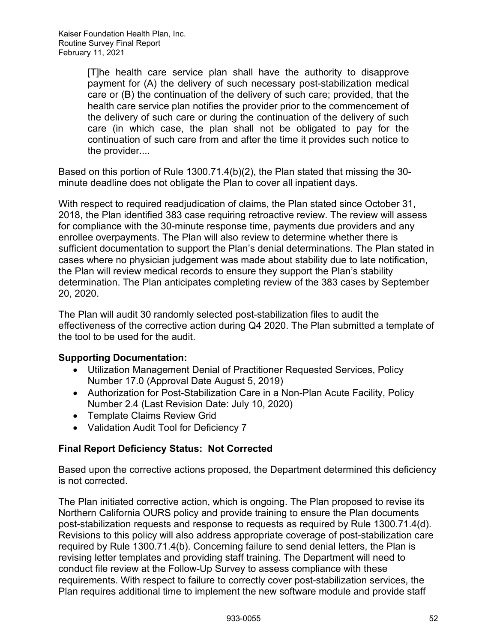[T]he health care service plan shall have the authority to disapprove payment for (A) the delivery of such necessary post-stabilization medical care or (B) the continuation of the delivery of such care; provided, that the health care service plan notifies the provider prior to the commencement of the delivery of such care or during the continuation of the delivery of such care (in which case, the plan shall not be obligated to pay for the continuation of such care from and after the time it provides such notice to the provider....

Based on this portion of Rule 1300.71.4(b)(2), the Plan stated that missing the 30 minute deadline does not obligate the Plan to cover all inpatient days.

With respect to required readjudication of claims, the Plan stated since October 31, 2018, the Plan identified 383 case requiring retroactive review. The review will assess for compliance with the 30-minute response time, payments due providers and any enrollee overpayments. The Plan will also review to determine whether there is sufficient documentation to support the Plan's denial determinations. The Plan stated in cases where no physician judgement was made about stability due to late notification, the Plan will review medical records to ensure they support the Plan's stability determination. The Plan anticipates completing review of the 383 cases by September 20, 2020.

The Plan will audit 30 randomly selected post-stabilization files to audit the effectiveness of the corrective action during Q4 2020. The Plan submitted a template of the tool to be used for the audit.

#### **Supporting Documentation:**

- Utilization Management Denial of Practitioner Requested Services, Policy Number 17.0 (Approval Date August 5, 2019)
- Authorization for Post-Stabilization Care in a Non-Plan Acute Facility, Policy Number 2.4 (Last Revision Date: July 10, 2020)
- Template Claims Review Grid
- Validation Audit Tool for Deficiency 7

## **Final Report Deficiency Status: Not Corrected**

Based upon the corrective actions proposed, the Department determined this deficiency is not corrected.

The Plan initiated corrective action, which is ongoing. The Plan proposed to revise its Northern California OURS policy and provide training to ensure the Plan documents post-stabilization requests and response to requests as required by Rule 1300.71.4(d). Revisions to this policy will also address appropriate coverage of post-stabilization care required by Rule 1300.71.4(b). Concerning failure to send denial letters, the Plan is revising letter templates and providing staff training. The Department will need to conduct file review at the Follow-Up Survey to assess compliance with these requirements. With respect to failure to correctly cover post-stabilization services, the Plan requires additional time to implement the new software module and provide staff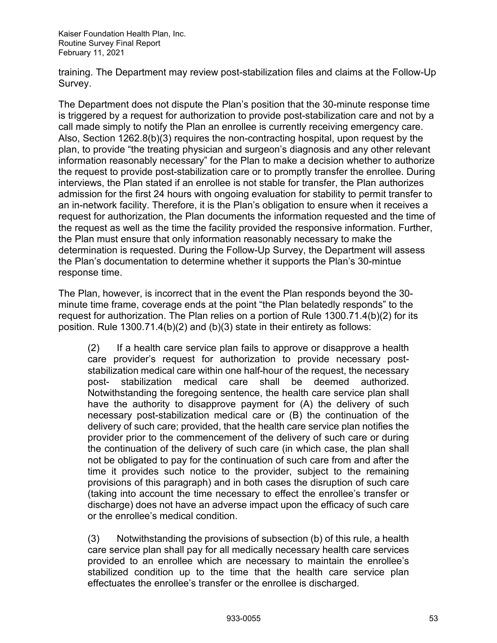training. The Department may review post-stabilization files and claims at the Follow-Up Survey.

The Department does not dispute the Plan's position that the 30-minute response time is triggered by a request for authorization to provide post-stabilization care and not by a call made simply to notify the Plan an enrollee is currently receiving emergency care. Also, Section 1262.8(b)(3) requires the non-contracting hospital, upon request by the plan, to provide "the treating physician and surgeon's diagnosis and any other relevant information reasonably necessary" for the Plan to make a decision whether to authorize the request to provide post-stabilization care or to promptly transfer the enrollee. During interviews, the Plan stated if an enrollee is not stable for transfer, the Plan authorizes admission for the first 24 hours with ongoing evaluation for stability to permit transfer to an in-network facility. Therefore, it is the Plan's obligation to ensure when it receives a request for authorization, the Plan documents the information requested and the time of the request as well as the time the facility provided the responsive information. Further, the Plan must ensure that only information reasonably necessary to make the determination is requested. During the Follow-Up Survey, the Department will assess the Plan's documentation to determine whether it supports the Plan's 30-mintue response time.

The Plan, however, is incorrect that in the event the Plan responds beyond the 30 minute time frame, coverage ends at the point "the Plan belatedly responds" to the request for authorization. The Plan relies on a portion of Rule 1300.71.4(b)(2) for its position. Rule 1300.71.4(b)(2) and (b)(3) state in their entirety as follows:

(2) If a health care service plan fails to approve or disapprove a health care provider's request for authorization to provide necessary poststabilization medical care within one half-hour of the request, the necessary post- stabilization medical care shall be deemed authorized. Notwithstanding the foregoing sentence, the health care service plan shall have the authority to disapprove payment for (A) the delivery of such necessary post-stabilization medical care or (B) the continuation of the delivery of such care; provided, that the health care service plan notifies the provider prior to the commencement of the delivery of such care or during the continuation of the delivery of such care (in which case, the plan shall not be obligated to pay for the continuation of such care from and after the time it provides such notice to the provider, subject to the remaining provisions of this paragraph) and in both cases the disruption of such care (taking into account the time necessary to effect the enrollee's transfer or discharge) does not have an adverse impact upon the efficacy of such care or the enrollee's medical condition.

(3) Notwithstanding the provisions of subsection (b) of this rule, a health care service plan shall pay for all medically necessary health care services provided to an enrollee which are necessary to maintain the enrollee's stabilized condition up to the time that the health care service plan effectuates the enrollee's transfer or the enrollee is discharged.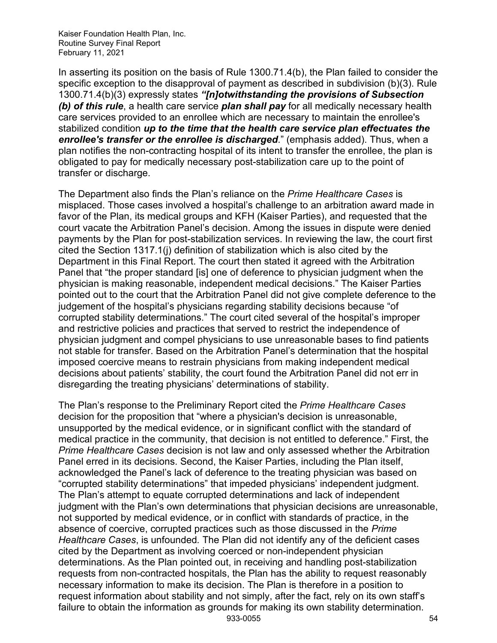In asserting its position on the basis of Rule 1300.71.4(b), the Plan failed to consider the specific exception to the disapproval of payment as described in subdivision (b)(3). Rule 1300.71.4(b)(3) expressly states *"[n]otwithstanding the provisions of Subsection (b) of this rule*, a health care service *plan shall pay* for all medically necessary health care services provided to an enrollee which are necessary to maintain the enrollee's stabilized condition *up to the time that the health care service plan effectuates the enrollee's transfer or the enrollee is discharged*." (emphasis added). Thus, when a plan notifies the non-contracting hospital of its intent to transfer the enrollee, the plan is obligated to pay for medically necessary post-stabilization care up to the point of transfer or discharge.

The Department also finds the Plan's reliance on the *Prime Healthcare Cases* is misplaced. Those cases involved a hospital's challenge to an arbitration award made in favor of the Plan, its medical groups and KFH (Kaiser Parties), and requested that the court vacate the Arbitration Panel's decision. Among the issues in dispute were denied payments by the Plan for post-stabilization services. In reviewing the law, the court first cited the Section 1317.1(j) definition of stabilization which is also cited by the Department in this Final Report. The court then stated it agreed with the Arbitration Panel that "the proper standard [is] one of deference to physician judgment when the physician is making reasonable, independent medical decisions." The Kaiser Parties pointed out to the court that the Arbitration Panel did not give complete deference to the judgement of the hospital's physicians regarding stability decisions because "of corrupted stability determinations." The court cited several of the hospital's improper and restrictive policies and practices that served to restrict the independence of physician judgment and compel physicians to use unreasonable bases to find patients not stable for transfer. Based on the Arbitration Panel's determination that the hospital imposed coercive means to restrain physicians from making independent medical decisions about patients' stability, the court found the Arbitration Panel did not err in disregarding the treating physicians' determinations of stability.

933-0055 54 The Plan's response to the Preliminary Report cited the *Prime Healthcare Cases* decision for the proposition that "where a physician's decision is unreasonable, unsupported by the medical evidence, or in significant conflict with the standard of medical practice in the community, that decision is not entitled to deference." First, the *Prime Healthcare Cases* decision is not law and only assessed whether the Arbitration Panel erred in its decisions. Second, the Kaiser Parties, including the Plan itself, acknowledged the Panel's lack of deference to the treating physician was based on "corrupted stability determinations" that impeded physicians' independent judgment. The Plan's attempt to equate corrupted determinations and lack of independent judgment with the Plan's own determinations that physician decisions are unreasonable, not supported by medical evidence, or in conflict with standards of practice, in the absence of coercive, corrupted practices such as those discussed in the *Prime Healthcare Cases*, is unfounded*.* The Plan did not identify any of the deficient cases cited by the Department as involving coerced or non-independent physician determinations. As the Plan pointed out, in receiving and handling post-stabilization requests from non-contracted hospitals, the Plan has the ability to request reasonably necessary information to make its decision. The Plan is therefore in a position to request information about stability and not simply, after the fact, rely on its own staff's failure to obtain the information as grounds for making its own stability determination.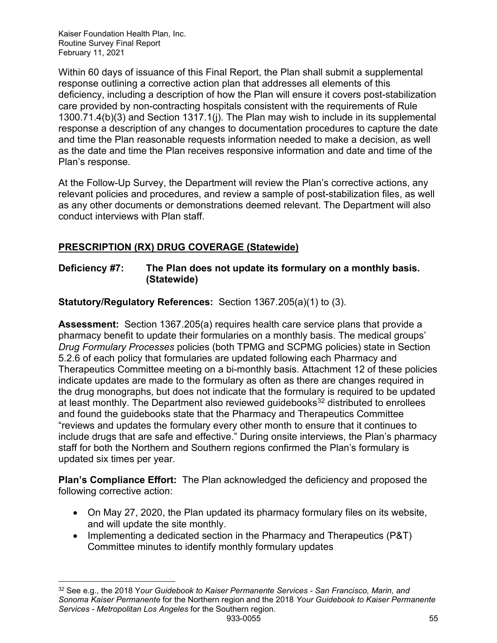Within 60 days of issuance of this Final Report, the Plan shall submit a supplemental response outlining a corrective action plan that addresses all elements of this deficiency, including a description of how the Plan will ensure it covers post-stabilization care provided by non-contracting hospitals consistent with the requirements of Rule 1300.71.4(b)(3) and Section 1317.1(j). The Plan may wish to include in its supplemental response a description of any changes to documentation procedures to capture the date and time the Plan reasonable requests information needed to make a decision, as well as the date and time the Plan receives responsive information and date and time of the Plan's response.

At the Follow-Up Survey, the Department will review the Plan's corrective actions, any relevant policies and procedures, and review a sample of post-stabilization files, as well as any other documents or demonstrations deemed relevant. The Department will also conduct interviews with Plan staff.

## <span id="page-55-0"></span>**PRESCRIPTION (RX) DRUG COVERAGE (Statewide)**

## **Deficiency #7: The Plan does not update its formulary on a monthly basis. (Statewide)**

**Statutory/Regulatory References:** Section 1367.205(a)(1) to (3).

**Assessment:** Section 1367.205(a) requires health care service plans that provide a pharmacy benefit to update their formularies on a monthly basis. The medical groups' *Drug Formulary Processes* policies (both TPMG and SCPMG policies) state in Section 5.2.6 of each policy that formularies are updated following each Pharmacy and Therapeutics Committee meeting on a bi-monthly basis. Attachment 12 of these policies indicate updates are made to the formulary as often as there are changes required in the drug monographs, but does not indicate that the formulary is required to be updated at least monthly. The Department also reviewed guidebooks<sup>[32](#page-55-1)</sup> distributed to enrollees and found the guidebooks state that the Pharmacy and Therapeutics Committee "reviews and updates the formulary every other month to ensure that it continues to include drugs that are safe and effective." During onsite interviews, the Plan's pharmacy staff for both the Northern and Southern regions confirmed the Plan's formulary is updated six times per year.

**Plan's Compliance Effort:** The Plan acknowledged the deficiency and proposed the following corrective action:

- On May 27, 2020, the Plan updated its pharmacy formulary files on its website, and will update the site monthly.
- Implementing a dedicated section in the Pharmacy and Therapeutics (P&T) Committee minutes to identify monthly formulary updates

<span id="page-55-1"></span><sup>933-0055</sup> 55 <sup>32</sup> See e.g., the 2018 Y*our Guidebook to Kaiser Permanente Services - San Francisco, Marin, and Sonoma Kaiser Permanente* for the Northern region and the 2018 *Your Guidebook to Kaiser Permanente Services - Metropolitan Los Angeles* for the Southern region.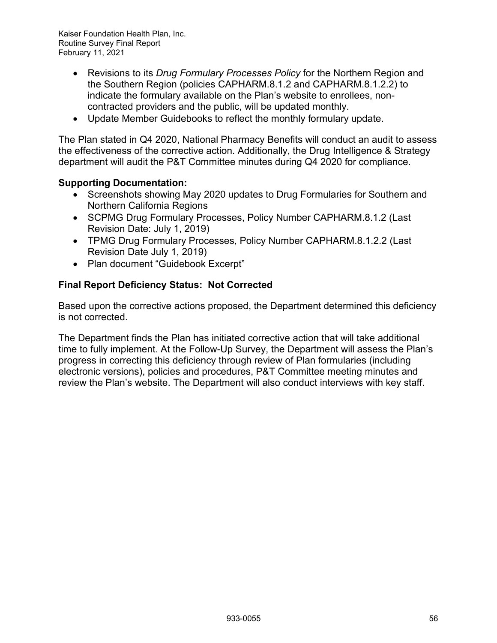- Revisions to its *Drug Formulary Processes Policy* for the Northern Region and the Southern Region (policies CAPHARM.8.1.2 and CAPHARM.8.1.2.2) to indicate the formulary available on the Plan's website to enrollees, noncontracted providers and the public, will be updated monthly.
- Update Member Guidebooks to reflect the monthly formulary update.

The Plan stated in Q4 2020, National Pharmacy Benefits will conduct an audit to assess the effectiveness of the corrective action. Additionally, the Drug Intelligence & Strategy department will audit the P&T Committee minutes during Q4 2020 for compliance.

#### **Supporting Documentation:**

- Screenshots showing May 2020 updates to Drug Formularies for Southern and Northern California Regions
- SCPMG Drug Formulary Processes, Policy Number CAPHARM.8.1.2 (Last Revision Date: July 1, 2019)
- TPMG Drug Formulary Processes, Policy Number CAPHARM.8.1.2.2 (Last Revision Date July 1, 2019)
- Plan document "Guidebook Excerpt"

## **Final Report Deficiency Status: Not Corrected**

Based upon the corrective actions proposed, the Department determined this deficiency is not corrected.

The Department finds the Plan has initiated corrective action that will take additional time to fully implement. At the Follow-Up Survey, the Department will assess the Plan's progress in correcting this deficiency through review of Plan formularies (including electronic versions), policies and procedures, P&T Committee meeting minutes and review the Plan's website. The Department will also conduct interviews with key staff.